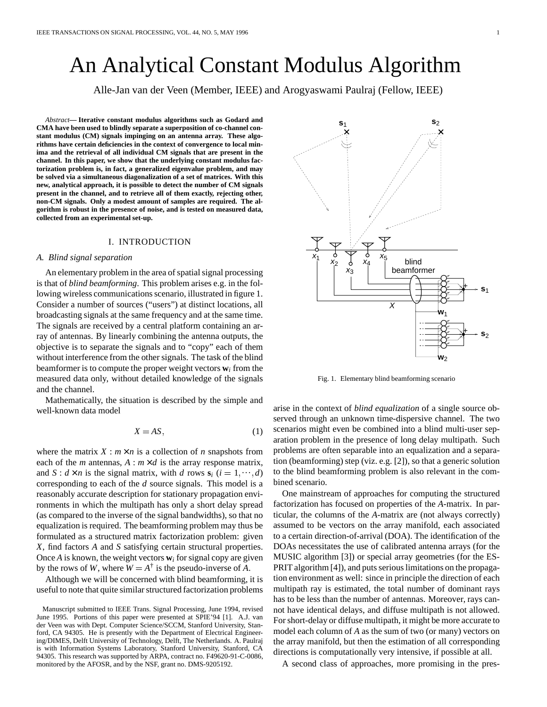# An Analytical Constant Modulus Algorithm

Alle-Jan van der Veen (Member, IEEE) and Arogyaswami Paulraj (Fellow, IEEE)

*Abstract***— Iterative constant modulus algorithms such as Godard and CMA have been used to blindly separate a superposition of co-channel constant modulus (CM) signals impinging on an antenna array. These algorithms have certain deficiencies in the context of convergence to local minima and the retrieval of all individual CM signals that are present in the channel. In this paper, we show that the underlying constant modulus factorization problem is, in fact, a generalized eigenvalue problem, and may be solved via a simultaneous diagonalization of a set of matrices. With this new, analytical approach, it is possible to detect the number of CM signals present in the channel, and to retrieve all of them exactly, rejecting other, non-CM signals. Only a modest amount of samples are required. The algorithm is robust in the presence of noise, and is tested on measured data, collected from an experimental set-up.**

#### I. INTRODUCTION

#### *A. Blind signal separation*

An elementary problem in the area of spatial signal processing is that of *blind beamforming*. This problem arises e.g. in the following wireless communications scenario, illustrated in figure 1. Consider a number of sources ("users") at distinct locations, all broadcasting signals at the same frequency and at the same time. The signals are received by a central platform containing an array of antennas. By linearly combining the antenna outputs, the objective is to separate the signals and to "copy" each of them without interference from the other signals. The task of the blind beamformer is to compute the proper weight vectors **w***<sup>i</sup>* from the measured data only, without detailed knowledge of the signals and the channel.

Mathematically, the situation is described by the simple and well-known data model

$$
X = AS,\tag{1}
$$

where the matrix  $X : m \times n$  is a collection of *n* snapshots from each of the *m* antennas,  $A : m \times d$  is the array response matrix, and  $S: d \times n$  is the signal matrix, with *d* rows  $s_i$  ( $i = 1, \dots, d$ ) to corresponding to each of the *d* source signals. This model is a reasonably accurate description for stationary propagation environments in which the multipath has only a short delay spread (as compared to the inverse of the signal bandwidths), so that no equalization is required. The beamforming problem may thus be formulated as a structured matrix factorization problem: given *X*, find factors *A* and *S* satisfying certain structural properties. Once *A* is known, the weight vectors  $w_i$  for signal copy are given by the rows of *W*, where  $W = A^{\dagger}$  is the pseudo-inverse of *A*.

Although we will be concerned with blind beamforming, it is useful to note that quite similar structured factorization problems



Fig. 1. Elementary blind beamforming scenario

arise in the context of *blind equalization* of a single source observed through an unknown time-dispersive channel. The two scenarios might even be combined into a blind multi-user separation problem in the presence of long delay multipath. Such problems are often separable into an equalization and a separation (beamforming) step (viz. e.g. [2]), so that a generic solution to the blind beamforming problem is also relevant in the combined scenario.

One mainstream of approaches for computing the structured factorization has focused on properties of the *A*-matrix. In particular, the columns of the *A*-matrix are (not always correctly) assumed to be vectors on the array manifold, each associated to a certain direction-of-arrival (DOA). The identification of the DOAs necessitates the use of calibrated antenna arrays (for the MUSIC algorithm [3]) or special array geometries (for the ES-PRIT algorithm [4]), and puts serious limitations on the propagation environment as well: since in principle the direction of each multipath ray is estimated, the total number of dominant rays has to be less than the number of antennas. Moreover, rays cannot have identical delays, and diffuse multipath is not allowed. For short-delay or diffuse multipath, it might be more accurate to model each column of *A* as the sum of two (or many) vectors on the array manifold, but then the estimation of all corresponding directions is computationally very intensive, if possible at all.

A second class of approaches, more promising in the pres-

Manuscript submitted to IEEE Trans. Signal Processing, June 1994, revised June 1995. Portions of this paper were presented at SPIE'94 [1]. A.J. van der Veen was with Dept. Computer Science/SCCM, Stanford University, Stanford, CA 94305. He is presently with the Department of Electrical Engineering/DIMES, Delft University of Technology, Delft, The Netherlands. A. Paulraj is with Information Systems Laboratory, Stanford University, Stanford, CA 94305. This research was supported by ARPA, contract no. F49620-91-C-0086, monitored by the AFOSR, and by the NSF, grant no. DMS-9205192.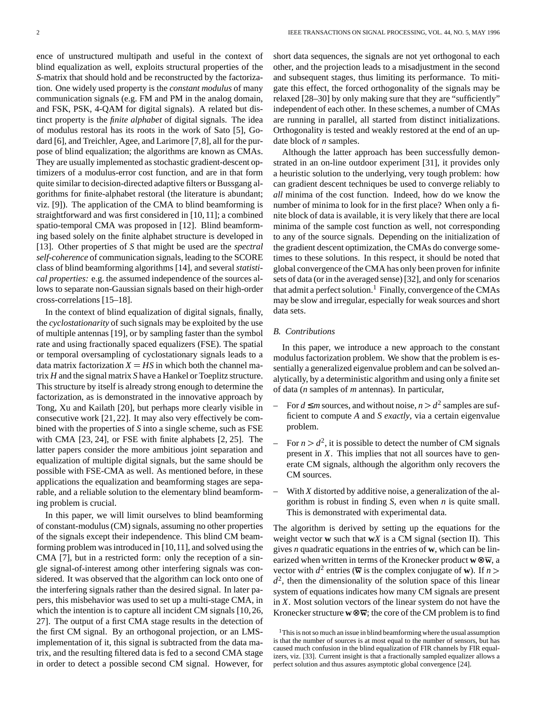ence of unstructured multipath and useful in the context of blind equalization as well, exploits structural properties of the *S*-matrix that should hold and be reconstructed by the factorization. One widely used property is the *constant modulus* of many communication signals (e.g. FM and PM in the analog domain, and FSK, PSK, 4-QAM for digital signals). A related but distinct property is the *finite alphabet* of digital signals. The idea of modulus restoral has its roots in the work of Sato [5], Godard [6], and Treichler, Agee, and Larimore [7,8], all for the purpose of blind equalization; the algorithms are known as CMAs. They are usually implemented as stochastic gradient-descent optimizers of a modulus-error cost function, and are in that form quite similar to decision-directed adaptive filters or Bussgang algorithms for finite-alphabet restoral (the literature is abundant; viz. [9]). The application of the CMA to blind beamforming is straightforward and was first considered in [10, 11]; a combined spatio-temporal CMA was proposed in [12]. Blind beamforming based solely on the finite alphabet structure is developed in [13]. Other properties of *S* that might be used are the *spectral self-coherence* of communication signals, leading to the SCORE class of blind beamforming algorithms [14], and several *statistical properties:* e.g. the assumed independence of the sources allows to separate non-Gaussian signals based on their high-order cross-correlations [15–18].

In the context of blind equalization of digital signals, finally, the *cyclostationarity* of such signals may be exploited by the use of multiple antennas [19], or by sampling faster than the symbol rate and using fractionally spaced equalizers (FSE). The spatial or temporal oversampling of cyclostationary signals leads to a data matrix factorization  $X = HS$  in which both the channel matrix *H* and the signalmatrix *S* have a Hankel or Toeplitz structure. This structure by itself is already strong enough to determine the factorization, as is demonstrated in the innovative approach by Tong, Xu and Kailath [20], but perhaps more clearly visible in consecutive work [21, 22]. It may also very effectively be combined with the properties of *S* into a single scheme, such as FSE with CMA [23, 24], or FSE with finite alphabets [2, 25]. The latter papers consider the more ambitious joint separation and equalization of multiple digital signals, but the same should be possible with FSE-CMA as well. As mentioned before, in these applications the equalization and beamforming stages are separable, and a reliable solution to the elementary blind beamforming problem is crucial.

In this paper, we will limit ourselves to blind beamforming of constant-modulus(CM) signals, assuming no other properties of the signals except their independence. This blind CM beamforming problem wasintroduced in [10,11], and solved using the CMA [7], but in a restricted form: only the reception of a single signal-of-interest among other interfering signals was considered. It was observed that the algorithm can lock onto one of the interfering signals rather than the desired signal. In later papers, this misbehavior was used to set up a multi-stage CMA, in which the intention is to capture all incident CM signals [10,26, 27]. The output of a first CMA stage results in the detection of the first CM signal. By an orthogonal projection, or an LMSimplementation of it, this signal is subtracted from the data matrix, and the resulting filtered data is fed to a second CMA stage in order to detect a possible second CM signal. However, for short data sequences, the signals are not yet orthogonal to each other, and the projection leads to a misadjustment in the second and subsequent stages, thus limiting its performance. To mitigate this effect, the forced orthogonality of the signals may be relaxed [28–30] by only making sure that they are "sufficiently" independent of each other. In these schemes, a number of CMAs are running in parallel, all started from distinct initializations. Orthogonality is tested and weakly restored at the end of an update block of *n* samples.

Although the latter approach has been successfully demonstrated in an on-line outdoor experiment [31], it provides only a heuristic solution to the underlying, very tough problem: how can gradient descent techniques be used to converge reliably to *all* minima of the cost function. Indeed, how do we know the number of minima to look for in the first place? When only a finite block of data is available, it is very likely that there are local minima of the sample cost function as well, not corresponding to any of the source signals. Depending on the initialization of the gradient descent optimization, the CMAs do converge sometimes to these solutions. In this respect, it should be noted that global convergence of the CMA has only been proven for infinite sets of data (or in the averaged sense) [32], and only for scenarios that admit a perfect solution.<sup>1</sup> Finally, convergence of the CMAs may be slow and irregular, especially for weak sources and short data sets.

#### *B. Contributions*

In this paper, we introduce a new approach to the constant modulus factorization problem. We show that the problem is essentially a generalized eigenvalue problem and can be solved analytically, by a deterministic algorithm and using only afinite set of data (*n* samples of *m* antennas). In particular,

- − For  $d \le m$  sources, and without noise,  $n > d^2$  samples are sufficient to compute *A* and *S exactly*, via a certain eigenvalue problem.
- $-$  For  $n > d^2$ , it is possible to detect the number of CM signals present in *X*. This implies that not all sources have to generate CM signals, although the algorithm only recovers the CM sources.
- With *X* distorted by additive noise, a generalization of the algorithm is robust in finding *S*, even when *n* is quite small. This is demonstrated with experimental data.

The algorithm is derived by setting up the equations for the weight vector **w** such that **w***X* is a CM signal (section II). This gives *n* quadratic equations in the entries of **w**, which can be linearized when written in terms of the Kronecker product  $w \otimes \overline{w}$ , a vector with  $d^2$  entries ( $\overline{w}$  is the complex conjugate of **w**). If *n*  $d^2$ , then the dimensionality of the solution space of this linear system of equations indicates how many CM signals are present in *X*. Most solution vectors of the linear system do not have the Kronecker structure  $\mathbf{w} \otimes \overline{\mathbf{w}}$ ; the core of the CM problem is to find

 $1$ This is not so much an issue in blind beamforming where the usual assumption is that the number of sources is at most equal to the number of sensors, but has caused much confusion in the blind equalization of FIR channels by FIR equalizers, viz. [33]. Current insight is that a fractionally sampled equalizer allows a perfect solution and thus assures asymptotic global convergence [24].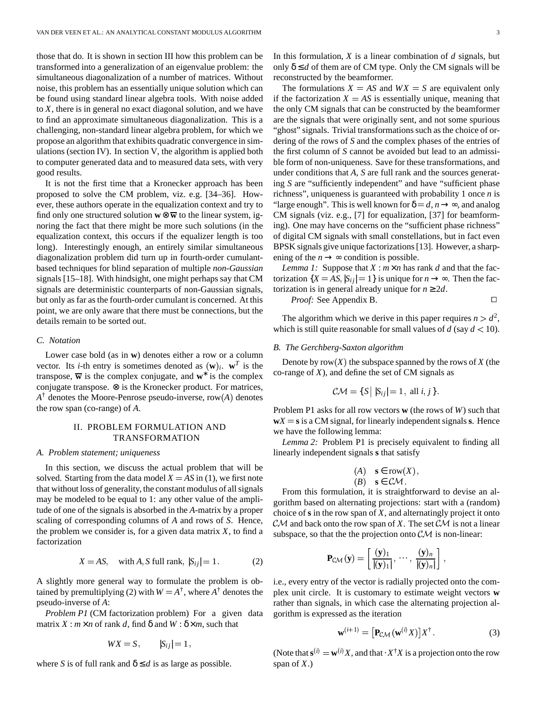those that do. It is shown in section III how this problem can be transformed into a generalization of an eigenvalue problem: the simultaneous diagonalization of a number of matrices. Without noise, this problem has an essentially unique solution which can be found using standard linear algebra tools. With noise added to *X*, there is in general no exact diagonal solution, and we have to find an approximate simultaneous diagonalization. This is a challenging, non-standard linear algebra problem, for which we propose an algorithm that exhibits quadratic convergence in simulations (section IV). In section V, the algorithm is applied both to computer generated data and to measured data sets, with very good results.

It is not the first time that a Kronecker approach has been proposed to solve the CM problem, viz. e.g. [34–36]. However, these authors operate in the equalization context and try to find only one structured solution  $\mathbf{w} \otimes \overline{\mathbf{w}}$  to the linear system, ignoring the fact that there might be more such solutions (in the equalization context, this occurs if the equalizer length is too long). Interestingly enough, an entirely similar simultaneous diagonalization problem did turn up in fourth-order cumulantbased techniques for blind separation of multiple *non-Gaussian* signals [15–18]. With hindsight, one might perhaps say that CM signals are deterministic counterparts of non-Gaussian signals, but only as far as the fourth-order cumulant is concerned. At this point, we are only aware that there must be connections, but the details remain to be sorted out.

# *C. Notation*

Lower case bold (as in **w**) denotes either a row or a column vector. Its *i*-th entry is sometimes denoted as  $(\mathbf{w})_i$ .  $\mathbf{w}^T$  is the transpose,  $\overline{w}$  is the complex conjugate, and  $w^*$  is the complex conjugate transpose. ⊗ is the Kronecker product. For matrices,  $A^{\dagger}$  denotes the Moore-Penrose pseudo-inverse, row $(A)$  denotes the row span (co-range) of *A*.

# II. PROBLEM FORMULATION AND TRANSFORMATION

#### *A. Problem statement; uniqueness*

In this section, we discuss the actual problem that will be solved. Starting from the data model  $X = AS$  in (1), we first note that without loss of generality, the constant modulus of all signals may be modeled to be equal to 1: any other value of the amplitude of one of the signals is absorbed in the *A*-matrix by a proper scaling of corresponding columns of *A* and rows of *S*. Hence, the problem we consider is, for a given data matrix *X*, to find a factorization

$$
X = AS, \quad \text{with } A, S \text{ full rank, } |S_{ij}| = 1. \tag{2}
$$

A slightly more general way to formulate the problem is obtained by premultiplying (2) with  $W = A^{\dagger}$ , where  $A^{\dagger}$  denotes the pseudo-inverse of *A*:

*Problem P1* (CM factorization problem) For a given data matrix *X* :  $m \times n$  of rank *d*, find  $\delta$  and  $W : \delta \times m$ , such that

$$
WX = S, \qquad |S_{ij}| = 1,
$$

where *S* is of full rank and  $\delta \le d$  is as large as possible.

In this formulation, *X* is a linear combination of *d* signals, but only  $\delta \le d$  of them are of CM type. Only the CM signals will be reconstructed by the beamformer.

The formulations  $X = AS$  and  $WX = S$  are equivalent only if the factorization  $X = AS$  is essentially unique, meaning that the only CM signals that can be constructed by the beamformer are the signals that were originally sent, and not some spurious "ghost" signals. Trivial transformations such as the choice of ordering of the rows of *S* and the complex phases of the entries of the first column of *S* cannot be avoided but lead to an admissible form of non-uniqueness. Save for these transformations, and under conditions that *A*, *S* are full rank and the sources generating *S* are "sufficiently independent" and have "sufficient phase richness", uniqueness is guaranteed with probability 1 once *n* is "large enough". This is well known for  $\delta = d, n \rightarrow \infty$ , and analog CM signals (viz. e.g., [7] for equalization, [37] for beamforming). One may have concerns on the "sufficient phase richness" of digital CM signals with small constellations, but in fact even BPSK signals give unique factorizations [13]. However, a sharpening of the  $n \rightarrow \infty$  condition is possible.

*Lemma 1:* Suppose that  $X : m \times n$  has rank *d* and that the factorization  $\{X = AS, |S_{ij}| = 1\}$  is unique for  $n \to \infty$ . Then the factorization is in general already unique for  $n \geq 2d$ .

*Proof:* See Appendix B.

The algorithm which we derive in this paper requires  $n > d^2$ , which is still quite reasonable for small values of  $d$  (say  $d < 10$ ).

#### *B. The Gerchberg-Saxton algorithm*

Denote by row  $(X)$  the subspace spanned by the rows of  $X$  (the co-range of  $X$ ), and define the set of  $CM$  signals as

$$
C\mathcal{M} = \{ S \mid |S_{ij}| = 1, \text{ all } i, j \}.
$$

Problem P1 asks for all row vectors **w** (the rows of *W*) such that  $wX = s$  is a CM signal, for linearly independent signals **s**. Hence we have the following lemma:

*Lemma 2:* Problem P1 is precisely equivalent to finding all linearly independent signals **s** that satisfy

(A) 
$$
\mathbf{s} \in \text{row}(X)
$$
,  
(B)  $\mathbf{s} \in \mathcal{CM}$ .

From this formulation, it is straightforward to devise an algorithm based on alternating projections: start with a (random) choice of **s** in the row span of *X*, and alternatingly project it onto  $\mathcal{CM}$  and back onto the row span of X. The set  $\mathcal{CM}$  is not a linear subspace, so that the the projection onto  $\mathcal{CM}$  is non-linear:

$$
\mathbf{P}_{\mathcal{CM}}(\mathbf{y}) = \left[ \frac{(\mathbf{y})_1}{|(\mathbf{y})_1|}, \cdots, \frac{(\mathbf{y})_n}{|(\mathbf{y})_n|} \right],
$$

i.e., every entry of the vector is radially projected onto the complex unit circle. It is customary to estimate weight vectors **w** rather than signals, in which case the alternating projection algorithm is expressed as the iteration

$$
\mathbf{w}^{(i+1)} = [\mathbf{P}_{\mathcal{CM}}(\mathbf{w}^{(i)}X)]X^{\dagger}.
$$
 (3)

the contract of the contract of the contract of

(Note that  $\mathbf{s}^{(i)} = \mathbf{w}^{(i)}X$ , and that  $\cdot X^{\dagger}X$  is a projection onto the row span of *X*.)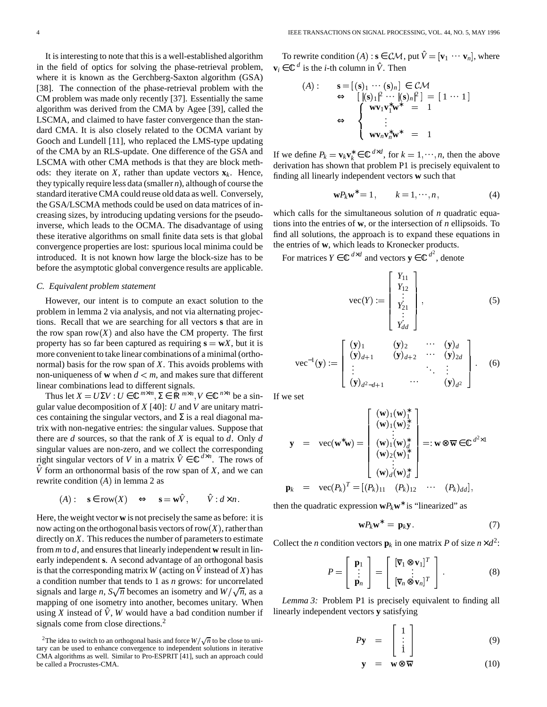It is interesting to note that this is a well-established algorithm in the field of optics for solving the phase-retrieval problem, where it is known as the Gerchberg-Saxton algorithm (GSA) [38]. The connection of the phase-retrieval problem with the CM problem was made only recently [37]. Essentially the same algorithm was derived from the CMA by Agee [39], called the LSCMA, and claimed to have faster convergence than the standard CMA. It is also closely related to the OCMA variant by Gooch and Lundell [11], who replaced the LMS-type updating of the CMA by an RLS-update. One difference of the GSA and LSCMA with other CMA methods is that they are block methods: they iterate on  $X$ , rather than update vectors  $\mathbf{x}_k$ . Hence, they typically require less data (smaller *n*), although of course the standard iterativeCMA could reuse old data as well. Conversely, the GSA/LSCMA methods could be used on data matrices of increasing sizes, by introducing updating versions for the pseudoinverse, which leads to the OCMA. The disadvantage of using these iterative algorithms on small finite data sets is that global convergence properties are lost: spurious local minima could be introduced. It is not known how large the block-size has to be before the asymptotic global convergence results are applicable.

#### *C. Equivalent problem statement*

However, our intent is to compute an exact solution to the problem in lemma 2 via analysis, and not via alternating projections. Recall that we are searching for all vectors **s** that are in the row span row  $(X)$  and also have the CM property. The first property has so far been captured as requiring  $\mathbf{s} = \mathbf{w}X$ , but it is more convenient to take linear combinations of a minimal (orthonormal) basis for the row span of *X*. This avoids problems with non-uniqueness of **w** when  $d < m$ , and makes sure that different linear combinations lead to different signals.

Thus let  $X = U\Sigma V$ :  $U \in \mathbb{C}^{m \times m}$ ,  $\Sigma \in \mathbb{R}^{m \times n}$ ,  $V \in \mathbb{C}^{n \times n}$  be a singular value decomposition of *X* [40]: *U* and *V* are unitary matrices containing the singular vectors, and  $\Sigma$  is a real diagonal matrix with non-negative entries: the singular values. Suppose that there are *d* sources, so that the rank of *X* is equal to *d*. Only *d* singular values are non-zero, and we collect the corresponding right singular vectors of *V* in a matrix  $\hat{V} \in \mathbb{C}^{d \times n}$ . The rows of  $\hat{V}$  form an orthonormal basis of the row span of *X*, and we can rewrite condition  $(A)$  in lemma 2 as

$$
(A): \quad \mathbf{s} \in \text{row}(X) \quad \Leftrightarrow \quad \mathbf{s} = \mathbf{w}\hat{V}, \qquad \hat{V} : d \times n.
$$

Here, the weight vector **w** is not precisely the same as before: it is now acting on the orthogonal basis vectors of row  $(X)$ , rather than directly on  $X$ . This reduces the number of parameters to estimate from  $m$  to  $d$ , and ensures that linearly independent  $w$  result in linearly independent **s**. A second advantage of an orthogonal basis is that the corresponding matrix W (acting on  $\hat{V}$  instead of *X*) has a condition number that tends to 1 as *n* grows: for uncorrelated signals and large *n*,  $S\sqrt{n}$  becomes an isometry and  $W/\sqrt{n}$ , as a mapping of one isometry into another, becomes unitary. When using *X* instead of  $\hat{V}$ , *W* would have a bad condition number if signals come from close directions.<sup>2</sup>

To rewrite condition  $(A)$  :  $\mathbf{s} \in \mathcal{CM}$ , put  $\hat{V} = [\mathbf{v}_1 \cdots \mathbf{v}_n]$ , where  $\mathbf{v}_i \in \mathbb{C}^d$  is the *i*-th column in  $\hat{V}$ . Then

$$
\begin{array}{lll}\n\text{(A)}: & \mathbf{s} = \left[ \left( \mathbf{s} \right)_1 \cdots \left( \mathbf{s} \right)_n \right] \in \mathcal{CM} \\
& \Leftrightarrow \left[ \left| \left( \mathbf{s} \right)_1 \right|^2 \cdots \left| \left( \mathbf{s} \right)_n \right|^2 \right] = \left[ \begin{array}{rcl} 1 \cdots 1 \end{array} \right] \\
& \Leftrightarrow \left\{ \begin{array}{rcl} \mathbf{w} \mathbf{v}_1 \mathbf{v}_1^* \mathbf{w}^* & = & 1 \\
\vdots & \vdots & \vdots & \vdots \\
\mathbf{w} \mathbf{v}_n \mathbf{v}_n^* \mathbf{w}^* & = & 1\n\end{array} \n\end{array}
$$

If we define  $P_k = \mathbf{v}_k \mathbf{v}_k^* \in \mathbb{C}^{d \times d}$ , for  $k = 1, \dots, n$ , then the above derivation has shown that problem P1 is precisely equivalent to finding all linearly independent vectors **w** such that

$$
\mathbf{w}P_k\mathbf{w}^* = 1, \qquad k = 1, \cdots, n, \tag{4}
$$

which calls for the simultaneous solution of *n* quadratic equations into the entries of **w**, or the intersection of *n* ellipsoids. To find all solutions, the approach is to expand these equations in the entries of **w**, which leads to Kronecker products.

For matrices  $Y \in \mathbb{C}^{d \times d}$  and vectors  $y \in \mathbb{C}^{d^2}$ , denote

$$
\text{vec}(Y) := \begin{bmatrix} Y_{11} \\ Y_{12} \\ \vdots \\ Y_{21} \\ \vdots \\ Y_{dd} \end{bmatrix}, \tag{5}
$$

$$
\text{vec}^{-1}(\mathbf{y}) := \left[\begin{array}{cccc} (\mathbf{y})_1 & (\mathbf{y})_2 & \cdots & (\mathbf{y})_d \\ (\mathbf{y})_{d+1} & (\mathbf{y})_{d+2} & \cdots & (\mathbf{y})_{2d} \\ \vdots & \vdots & \ddots & \vdots \\ (\mathbf{y})_{d^2-d+1} & \cdots & (\mathbf{y})_{d^2} \end{array}\right].
$$
 (6)

If we set

$$
\mathbf{y} = \text{vec}(\mathbf{w}^*\mathbf{w}) = \begin{bmatrix} (\mathbf{w})_1(\mathbf{w})_1^* \\ (\mathbf{w})_1(\mathbf{w})_2^* \\ \vdots \\ (\mathbf{w})_1(\mathbf{w})_d^* \\ (\mathbf{w})_2(\mathbf{w})_1^* \\ \vdots \\ (\mathbf{w})_d(\mathbf{w})_d^* \end{bmatrix} =: \mathbf{w} \otimes \overline{\mathbf{w}} \in \mathbb{C}^{d^2 \times 1}
$$

$$
\mathbf{p}_k = \text{vec}(P_k)^T = [(P_k)_{11} \quad (P_k)_{12} \quad \cdots \quad (P_k)_{dd}],
$$

then the quadratic expression  $wP_kw^*$  is "linearized" as

$$
\mathbf{w}P_k\mathbf{w}^* = \mathbf{p}_k\mathbf{y}.\tag{7}
$$

Collect the *n* condition vectors  $\mathbf{p}_k$  in one matrix *P* of size  $n \times d^2$ :

$$
P = \begin{bmatrix} \mathbf{p}_1 \\ \vdots \\ \mathbf{p}_n \end{bmatrix} = \begin{bmatrix} [\overline{\mathbf{v}}_1 \otimes \mathbf{v}_1]^T \\ \vdots \\ [\overline{\mathbf{v}}_n \otimes \mathbf{v}_n]^T \end{bmatrix} . \tag{8}
$$

\*

*Lemma 3:* Problem P1 is precisely equivalent to finding all linearly independent vectors **y** satisfying

$$
P\mathbf{y} = \begin{bmatrix} 1 \\ \vdots \\ 1 \end{bmatrix} \tag{9}
$$

$$
\mathbf{y} = \mathbf{w} \otimes \overline{\mathbf{w}} \tag{10}
$$

<sup>&</sup>lt;sup>2</sup>The idea to switch to an orthogonal basis and force  $W / \sqrt{n}$  to be close to unitary can be used to enhance convergence to independent solutions in iterative CMA algorithms as well. Similar to Pro-ESPRIT [41], such an approach could be called a Procrustes-CMA.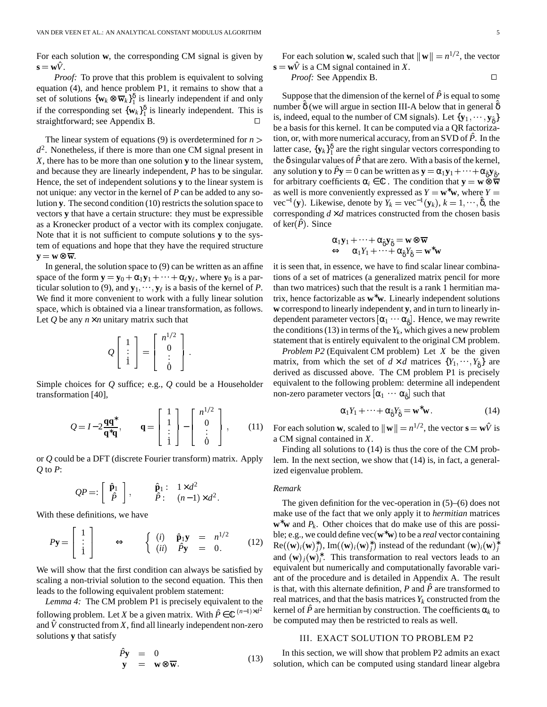For each solution **w**, the corresponding CM signal is given by  $\mathbf{s} = \mathbf{w}\hat{V}$ .

*Proof:* To prove that this problem is equivalent to solving equation (4), and hence problem P1, it remains to show that a set of solutions  $\{w_k \otimes \overline{w}_k\}_1^{\delta}$  is linearly independent if and only if the corresponding set  $\{w_k\}_1^{\delta}$  is linearly independent. This is straightforward; see Appendix B.

The linear system of equations (9) is overdetermined for  $n >$  $d^2$ . Nonetheless, if there is more than one CM signal present in *X*, there has to be more than one solution **y** to the linear system, and because they are linearly independent, *P* has to be singular. Hence, the set of independent solutions **y** to the linear system is not unique: any vector in the kernel of *P* can be added to any solution  $\bf{y}$ . The second condition (10) restricts the solution space to vectors **y** that have a certain structure: they must be expressible as a Kronecker product of a vector with its complex conjugate. Note that it is not sufficient to compute solutions **y** to the system of equations and hope that they have the required structure  $y = w \otimes \overline{w}$ .

In general, the solution space to  $(9)$  can be written as an affine space of the form  $y = y_0 + \alpha_1 y_1 + \cdots + \alpha_\ell y_\ell$ , where  $y_0$  is a particular solution to (9), and  $\mathbf{y}_1, \dots, \mathbf{y}_\ell$  is a basis of the kernel of *P*. We find it more convenient to work with a fully linear solution space, which is obtained via a linear transformation, as follows. Let  $Q$  be any  $n \times n$  unitary matrix such that

$$
Q\left[\begin{array}{c}1\\ \vdots\\ 1\end{array}\right]=\left[\begin{array}{c}n^{1/2}\\ 0\\ \vdots\\ 0\end{array}\right].
$$

Simple choices for *Q* suffice; e.g., *Q* could be a Householder transformation [40],

$$
Q = I - 2\frac{\mathbf{q}\mathbf{q}^*}{\mathbf{q}^*\mathbf{q}}, \qquad \mathbf{q} = \begin{bmatrix} 1 \\ 1 \\ \vdots \\ 1 \end{bmatrix} - \begin{bmatrix} n^{1/2} \\ 0 \\ \vdots \\ 0 \end{bmatrix}, \qquad (11)
$$

or *Q* could be a DFT (discrete Fourier transform) matrix. Apply *Q* to *P*:

$$
QP =: \left[\begin{array}{c} \hat{\mathbf{p}}_1 \\ \hat{P} \end{array}\right], \qquad \begin{array}{c} \hat{\mathbf{p}}_1: 1 \times d^2 \\ \hat{P}: (n-1) \times d^2. \end{array}
$$

With these definitions, we have \*\*\*\*

-

$$
P\mathbf{y} = \begin{bmatrix} 1 \\ \vdots \\ 1 \end{bmatrix} \qquad \Longleftrightarrow \qquad \begin{cases} (i) & \hat{\mathbf{p}}_1 \mathbf{y} &= n^{1/2} \\ (ii) & \hat{P} \mathbf{y} &= 0. \end{cases} \tag{12}
$$

We will show that the first condition can always be satisfied by scaling a non-trivial solution to the second equation. This then leads to the following equivalent problem statement:

*Lemma 4:* The CM problem P1 is precisely equivalent to the following problem. Let *X* be a given matrix. With  $\hat{P} \in \mathbb{C}^{(n-1) \times d^2}$ and  $\hat{V}$  constructed from *X*, find all linearly independent non-zero solutions **y** that satisfy

$$
\hat{P}\mathbf{y} = 0 \n\mathbf{y} = \mathbf{w} \otimes \overline{\mathbf{w}}.
$$
\n(13)

For each solution **w**, scaled such that 
$$
\|\mathbf{w}\| = n^{1/2}
$$
, the vector

$$
\mathbf{s} = \mathbf{w}\hat{V} \text{ is a CM signal contained in } X.
$$
  
*Proof:* See Appendix B.

 tion, or, with more numerical accuracy, from anSVD of *P*ˆ. In the Suppose that the dimension of the kernel of  $\hat{P}$  is equal to some number  $\delta$  (we will argue in section III-A below that in general  $\delta$ is, indeed, equal to the number of CM signals). Let  $\{y_1, \dots, y_{\hat{\delta}}\}$ be a basis for this kernel. It can be computed via a QR factorizalatter case,  ${\bf \{y}_k\}_1^{\delta}$  are the right singular vectors corresponding to the  $\delta$  singular values of  $\hat{P}$  that are zero. With a basis of the kernel, any solution **y** to  $\hat{P}y = 0$  can be written as  $y = \alpha_1 y_1 + \cdots + \alpha_{\hat{\delta}} y_{\hat{\delta}}$ , for arbitrary coefficients  $\alpha_i \in \mathbb{C}$ . The condition that  $\mathbf{y} = \mathbf{w} \otimes \overline{\mathbf{w}}$ as well is more conveniently expressed as  $Y = \mathbf{w}^* \mathbf{w}$ , where  $Y =$ vec<sup>-1</sup>(y). Likewise, denote by  $Y_k = \text{vec}^{-1}(y_k)$ ,  $k = 1, \dots, \hat{\delta}$ , the corresponding  $d \times d$  matrices constructed from the chosen basis of  $\text{ker}(P)$ . Since

$$
\begin{array}{ll}\n\alpha_1\mathbf{y}_1 + \cdots + \alpha_{\hat{\delta}}\mathbf{y}_{\hat{\delta}} = \mathbf{w} \otimes \overline{\mathbf{w}} \\
\Leftrightarrow \quad \alpha_1Y_1 + \cdots + \alpha_{\hat{\delta}}Y_{\hat{\delta}} = \mathbf{w}^*\mathbf{w}\n\end{array}
$$

it is seen that, in essence, we have to find scalar linear combinations of a set of matrices (a generalized matrix pencil for more than two matrices) such that the result is a rank 1 hermitian matrix, hence factorizable as **w**∗**w**. Linearly independent solutions **w** correspond to linearly independent **y**, and in turn to linearly independent parameter vectors  $[\alpha_1 \cdots \alpha_{\hat{\delta}}]$ . Hence, we may rewrite the conditions (13) in terms of the  $Y_k$ , which gives a new problem statement that is entirely equivalent to the original CM problem.

*Problem P2* (Equivalent CM problem) Let *X* be the given matrix, from which the set of  $d \times d$  matrices  $\{Y_1, \dots, Y_{\hat{\delta}}\}$  are derived as discussed above. The CM problem P1 is precisely equivalent to the following problem: determine all independent non-zero parameter vectors  $[\alpha_1 \cdots \alpha_{\hat{\delta}}]$  such that

$$
\alpha_1 Y_1 + \dots + \alpha_{\hat{\delta}} Y_{\hat{\delta}} = \mathbf{w}^* \mathbf{w}.
$$
 (14)

For each solution **w**, scaled to  $||\mathbf{w}|| = n^{1/2}$ , the vector  $\mathbf{s} = \mathbf{w}\hat{V}$  is a CM signal contained in *X*.

Finding all solutions to (14) is thus the core of the CM problem. In the next section, we show that (14) is, in fact, a generalized eigenvalue problem.

#### *Remark*

The given definition for the vec-operation in (5)–(6) does not make use of the fact that we only apply it to *hermitian* matrices **w**<sup>∗</sup>**w** and *P*<sub>*k*</sub>. Other choices that do make use of this are possible; e.g., we could define vec(**w**<sup>∗</sup>**w**) to be a *real* vector containing  $\text{Re}((\mathbf{w})_i(\mathbf{w})_j^*)$ ,  $\text{Im}((\mathbf{w})_i(\mathbf{w})_j^*)$  instead of the redundant  $(\mathbf{w})_i(\mathbf{w})_j^*$ and  $(\mathbf{w})_j(\mathbf{w})_i^*$ . This transformation to real vectors leads to an equivalent but numerically and computationally favorable variant of the procedure and is detailed in Appendix A. The result is that, with this alternate definition,  $P$  and  $\hat{P}$  are transformed to real matrices, and that the basis matrices  $Y_k$  constructed from the kernel of  $\hat{P}$  are hermitian by construction. The coefficients  $\alpha_k$  to be computed may then be restricted to reals as well.

#### III. EXACT SOLUTION TO PROBLEM P2

In this section, we will show that problem P2 admits an exact solution, which can be computed using standard linear algebra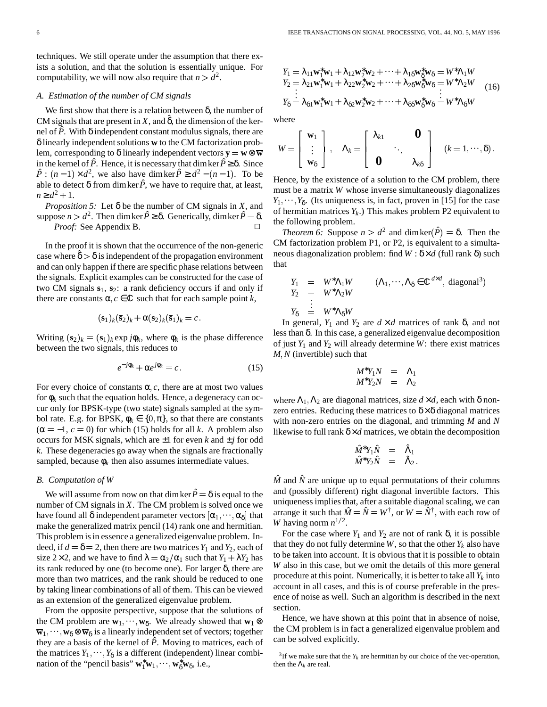techniques. We still operate under the assumption that there exists a solution, and that the solution is essentially unique. For computability, we will now also require that  $n > d^2$ .

## *A. Estimation of the number of CM signals*

We first show that there is a relation between  $\delta$ , the number of CM signals that are present in *X*, and  $\delta$ , the dimension of the kernel of  $\hat{P}$ . With  $\delta$  independent constant modulus signals, there are δ linearly independent solutions **w** to the CM factorization problem, corresponding to  $\delta$  linearly independent vectors  $y = w \otimes \overline{w}$ in the kernel of  $\hat{P}$ . Hence, it is necessary that dimker  $\hat{P} \geq \delta$ . Since  $\hat{P}$  :  $(n-1) \times d^2$ , we also have dimker  $\hat{P} \geq d^2 - (n-1)$ . To be able to detect  $\delta$  from dimker  $\hat{P}$ , we have to require that, at least,  $n \ge d^2 + 1$ .

*Proposition* 5: Let  $\delta$  be the number of CM signals in *X*, and suppose  $n > d^2$ . Then dimker  $\hat{P} \geq \delta$ . Generically, dimker  $\hat{P} = \delta$ . <sup>Of nermit</sup> *Proof:* See Appendix B.

In the proof it is shown that the occurrence of the non-generic case where  $\hat{\delta} > \delta$  is independent of the propagation environment and can only happen if there are specific phase relations between the signals. Explicit examples can be constructed for the case of two CM signals **s**1, **s**2: a rank deficiency occurs if and only if there are constants  $\alpha$ ,  $c \in \mathbb{C}$  such that for each sample point *k*,

$$
(\mathbf{s}_1)_k (\overline{\mathbf{s}}_2)_k + \alpha (\mathbf{s}_2)_k (\overline{\mathbf{s}}_1)_k = c.
$$

Writing  $(\mathbf{s}_2)_k = (\mathbf{s}_1)_k \exp j\phi_k$ , where  $\phi_k$  is the phase difference between the two signals, this reduces to

− *j*φ*<sup>k</sup>*

$$
e^{-j\phi_k} + \alpha e^{j\phi_k} = c. \tag{15}
$$

For every choice of constants  $\alpha$ , *c*, there are at most two values for  $\phi_k$  such that the equation holds. Hence, a degeneracy can occur only for BPSK-type (two state) signals sampled at the symbol rate. E.g. for BPSK,  $\phi_k \in \{0, \pi\}$ , so that there are constants  $(\alpha = -1, c = 0)$  for which (15) holds for all *k*. A problem also occurs for MSK signals, which are  $\pm 1$  for even *k* and  $\pm j$  for odd *k*. These degeneracies go away when the signals are fractionally sampled, because  $\phi_k$  then also assumes intermediate values.

## *B. Computation of W*

We will assume from now on that dimker  $\hat{P} = \delta$  is equal to the number of CM signals in *X*. The CM problem is solved once we have found all  $\delta$  independent parameter vectors  $[\alpha_1, \cdots, \alpha_{\delta}]$  that make the generalized matrix pencil (14) rank one and hermitian. This problem is in essence a generalized eigenvalue problem. Indeed, if  $d = \delta = 2$ , then there are two matrices  $Y_1$  and  $Y_2$ , each of size 2×2, and we have to find  $\lambda = \alpha_2/\alpha_1$  such that  $Y_1 + \lambda Y_2$  has  $\alpha_1$ <sup>to b</sup> its rank reduced by one (to become one). For larger  $\delta$ , there are more than two matrices, and the rank should be reduced to one by taking linear combinations of all of them. This can be viewed as an extension of the generalized eigenvalue problem.

From the opposite perspective, suppose that the solutions of the CM problem are  $w_1, \dots, w_\delta$ . We already showed that  $w_1 \otimes$  $\overline{\mathbf{w}}_1, \cdots, \mathbf{w}_{\delta} \otimes \overline{\mathbf{w}}_{\delta}$  is a linearly independent set of vectors; together they are a basis of the kernel of  $\hat{P}$ . Moving to matrices, each of the matrices  $Y_1, \dots, Y_\delta$  is a different (independent) linear combination of the "pencil basis"  $\mathbf{w}_1^* \mathbf{w}_1, \dots, \mathbf{w}_\delta^* \mathbf{w}_\delta$ , i.e.,

$$
Y_1 = \lambda_{11} \mathbf{w}_1^* \mathbf{w}_1 + \lambda_{12} \mathbf{w}_2^* \mathbf{w}_2 + \dots + \lambda_{18} \mathbf{w}_8^* \mathbf{w}_8 = W^* \Lambda_1 W
$$
  
\n
$$
Y_2 = \lambda_{21} \mathbf{w}_1^* \mathbf{w}_1 + \lambda_{22} \mathbf{w}_2^* \mathbf{w}_2 + \dots + \lambda_{28} \mathbf{w}_8^* \mathbf{w}_8 = W^* \Lambda_2 W
$$
  
\n
$$
\vdots
$$
  
\n
$$
Y_8 = \lambda_{81} \mathbf{w}_1^* \mathbf{w}_1 + \lambda_{82} \mathbf{w}_2^* \mathbf{w}_2 + \dots + \lambda_{88} \mathbf{w}_8^* \mathbf{w}_8 = W^* \Lambda_8 W
$$
  
\n(16)

where

$$
W = \begin{bmatrix} \mathbf{w}_1 \\ \vdots \\ \mathbf{w}_{\delta} \end{bmatrix}, \quad \Lambda_k = \begin{bmatrix} \lambda_{k1} & \mathbf{0} \\ \mathbf{0} & \ddots \\ \mathbf{0} & \lambda_{k\delta} \end{bmatrix} \quad (k = 1, \cdots, \delta).
$$

Hence, by the existence of a solution to the CM problem, there must be a matrix *W* whose inverse simultaneously diagonalizes  $Y_1, \dots, Y_\delta$ . (Its uniqueness is, in fact, proven in [15] for the case of hermitian matrices*Y<sup>k</sup>* .) This makes problem P2 equivalent to the following problem.

*Theorem* 6: Suppose  $n > d^2$  and dimker( $\hat{P}$ ) =  $\delta$ . Then the CM factorization problem P1, or P2, is equivalent to a simultaneous diagonalization problem: find  $W : \delta \times d$  (full rank  $\delta$ ) such that

$$
Y_1 = W^*\Lambda_1 W \qquad (\Lambda_1, \cdots, \Lambda_\delta \in \mathbb{C}^{d \times d}, \text{ diagonal}^3)
$$
  
\n
$$
Y_2 = W^*\Lambda_2 W
$$
  
\n
$$
\vdots
$$
  
\n
$$
Y_\delta = W^*\Lambda_\delta W
$$

In general, *Y*<sub>1</sub> and *Y*<sub>2</sub> are  $d \times d$  matrices of rank δ, and not less than δ. In this case, a generalized eigenvalue decomposition of just  $Y_1$  and  $Y_2$  will already determine  $W$ : there exist matrices *M*, *N* (invertible) such that

$$
M^*Y_1N = \Lambda_1
$$
  

$$
M^*Y_2N = \Lambda_2
$$

where  $\Lambda_1, \Lambda_2$  are diagonal matrices, size  $d \times d$ , each with  $\delta$  nonzero entries. Reducing these matrices to  $\delta \times \delta$  diagonal matrices with non-zero entries on the diagonal, and trimming *M* and *N* likewise to full rank  $\delta \times d$  matrices, we obtain the decomposition

$$
\begin{array}{rcl}\n\hat{M}^*Y_1\hat{N} & = & \hat{\Lambda}_1 \\
\hat{M}^*Y_2\hat{N} & = & \hat{\Lambda}_2\n\end{array}.
$$

 $\hat{M}$  and  $\hat{N}$  are unique up to equal permutations of their columns and (possibly different) right diagonal invertible factors. This uniqueness implies that, after a suitable diagonal scaling, we can arrange it such that  $\hat{M} = \hat{N} = W^{\dagger}$ , or  $W = \hat{N}^{\dagger}$ , with each row of *W* having norm  $n^{1/2}$ .

For the case where  $Y_1$  and  $Y_2$  are not of rank  $\delta$ , it is possible that they do not fully determine *W*, so that the other  $Y_k$  also have to be taken into account. It is obvious that it is possible to obtain *W* also in this case, but we omit the details of this more general procedure at this point. Numerically, it is better to take all  $Y_k$  into account in all cases, and this is of course preferable in the presence of noise as well. Such an algorithm is described in the next section.

Hence, we have shown at this point that in absence of noise, the CM problem is in fact a generalized eigenvalue problem and can be solved explicitly.

<sup>&</sup>lt;sup>3</sup>If we make sure that the  $Y_k$  are hermitian by our choice of the vec-operation, then the  $\Lambda_k$  are real.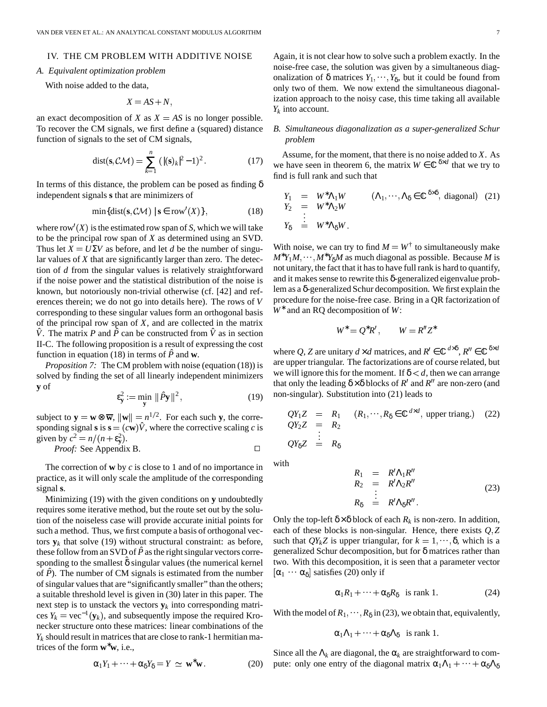## IV. THE CM PROBLEM WITH ADDITIVE NOISE

# *A. Equivalent optimization problem*

With noise added to the data,

$$
X = AS + N,
$$

an exact decomposition of *X* as  $X = AS$  is no longer possible. To recover the CM signals, we first define a (squared) distance function of signals to the set of CM signals,

dist(s, 
$$
\mathcal{CM}
$$
) =  $\sum_{k=1}^{n} (|(s)_k|^2 - 1)^2$ . (17)

In terms of this distance, the problem can be posed as finding  $\delta$ independent signals **s** that are minimizers of

$$
\min\{\text{dist}(\mathbf{s}, \mathcal{CM}) \mid \mathbf{s} \in \text{row}'(X)\},\tag{18}
$$

where row<sup> $\prime$ </sup>(*X*) is the estimated row span of *S*, which we will take to be the principal row span of *X* as determined using an SVD. Thus let  $X = U\Sigma V$  as before, and let *d* be the number of singular values of *X* that are significantly larger than zero. The detection of *d* from the singular values is relatively straightforward if the noise power and the statistical distribution of the noise is known, but notoriously non-trivial otherwise (cf. [42] and references therein; we do not go into details here). The rows of *V* corresponding to these singular values form an orthogonal basis of the principal row span of *X*, and are collected in the matrix  $\hat{V}$ . The matrix *P* and  $\hat{P}$  can be constructed from  $\hat{V}$  as in section II-C. The following proposition is a result of expressing the cost function in equation (18) in terms of  $\hat{P}$  and **w**.

*Proposition* 7: The CM problem with noise (equation (18)) is solved by finding the set of all linearly independent minimizers **y** of

$$
\varepsilon_{\mathbf{y}}^2 := \min_{\mathbf{y}} \|\hat{P}\mathbf{y}\|^2, \tag{19}
$$

subject to  $y = w \otimes \overline{w}$ ,  $||w|| = n^{1/2}$ . For each such y, the corresponding signal **s** is  $\mathbf{s} = (c\mathbf{w})\hat{V}$ , where the corrective scaling *c* is given by  $c^2 = n/(n + \varepsilon_y^2)$ .

*Proof:* See Appendix B. 
$$
\Box
$$

The correction of **w** by *c* is close to 1 and of no importance in practice, as it will only scale the amplitude of the corresponding signal **s**.

Minimizing (19) with the given conditions on **y** undoubtedly requires some iterative method, but the route set out by the solution of the noiseless case will provide accurate initial points for such a method. Thus, we first compute a basis of orthogonal vectors  $y_k$  that solve (19) without structural constraint: as before, these follow from an SVD of  $\hat{P}$  as the right singular vectors corresponding to the smallest  $\delta$  singular values (the numerical kernel of  $\hat{P}$ ). The number of CM signals is estimated from the number of singular values that are "significantly smaller" than the others; a suitable threshold level is given in (30) later in this paper. The next step is to unstack the vectors  $y_k$  into corresponding matrices  $Y_k = \text{vec}^{-1}(\mathbf{y}_k)$ , and subsequently impose the required Kronecker structure onto these matrices: linear combinations of the  $Y_k$  should result in matrices that are close to rank-1 hermitian matrices of the form **w**∗**w**, i.e.,

$$
\alpha_1 Y_1 + \dots + \alpha_\delta Y_\delta = Y \simeq \mathbf{w}^* \mathbf{w}.
$$
 (20)

Again, it is not clear how to solve such a problem exactly. In the noise-free case, the solution was given by a simultaneous diagonalization of  $\delta$  matrices  $Y_1, \dots, Y_{\delta}$ , but it could be found from only two of them. We now extend the simultaneous diagonalization approach to the noisy case, this time taking all available *Yk* into account.

# *B. Simultaneous diagonalization as a super-generalized Schur problem*

Assume, for the moment, that there is no noise added to  $X$ . As we have seen in theorem 6, the matrix  $W \in \mathbb{C}^{\delta \times d}$  that we try to find is full rank and such that

$$
Y_1 = W^* \Lambda_1 W \qquad (\Lambda_1, \cdots, \Lambda_\delta \in \mathbb{C}^{\delta \times \delta}, \text{ diagonal}) \quad (21)
$$
  
\n
$$
Y_2 = W^* \Lambda_2 W
$$
  
\n
$$
\vdots
$$
  
\n
$$
Y_\delta = W^* \Lambda_\delta W.
$$

With noise, we can try to find  $M = W^{\dagger}$  to simultaneously make  $M^*Y_1M, \cdots, M^*Y_8M$  as much diagonal as possible. Because *M* is not unitary, the fact that it has to have full rank is hard to quantify, and it makes sense to rewrite this  $\delta$ -generalized eigenvalue problem as a  $\delta$ -generalized Schur decomposition. We first explain the procedure for the noise-free case. Bring in a QR factorization of *W*<sup>∗</sup> and an RQ decomposition of *W*:

$$
W^* = Q^* R', \qquad W = R'' Z^*
$$

where Q, Z are unitary  $d \times d$  matrices, and  $R' \in \mathbb{C}^{d \times \delta}$ ,  $R'' \in \mathbb{C}^{\delta \times d}$ are upper triangular. The factorizations are of course related, but we will ignore this for the moment. If  $\delta < d$ , then we can arrange that only the leading  $\delta \times \delta$  blocks of *R'* and *R''* are non-zero (and non-singular). Substitution into (21) leads to

$$
QY_1Z = R_1 \t (R_1, \cdots, R_\delta \in \mathbb{C}^{d \times d}, \text{ upper triangle.)} \t (22)
$$
  
\n
$$
QY_2Z = R_2 \vdots
$$
  
\n
$$
QY_\delta Z = R_\delta
$$

with

$$
R_1 = R'\Lambda_1 R''
$$
  
\n
$$
R_2 = R'\Lambda_2 R''
$$
  
\n
$$
\vdots
$$
  
\n
$$
R_\delta = R'\Lambda_\delta R''.
$$
\n(23)

Only the top-left  $\delta \times \delta$  block of each  $R_k$  is non-zero. In addition, each of these blocks is non-singular. Hence, there exists  $Q$ ,  $Z$ such that  $QY_kZ$  is upper triangular, for  $k = 1, \dots, \delta$ , which is a generalized Schur decomposition, but for δ matrices rather than two. With this decomposition, it is seen that a parameter vector  $[\alpha_1 \cdots \alpha_\delta]$  satisfies (20) only if

$$
\alpha_1 R_1 + \dots + \alpha_\delta R_\delta \quad \text{is rank 1.} \tag{24}
$$

With the model of  $R_1, \dots, R_\delta$  in (23), we obtain that, equivalently,

$$
\alpha_1\Lambda_1+\cdots+\alpha_\delta\Lambda_\delta \quad \text{is rank } 1.
$$

Since all the  $\Lambda_k$  are diagonal, the  $\alpha_k$  are straightforward to compute: only one entry of the diagonal matrix  $\alpha_1 \Lambda_1 + \cdots + \alpha_\delta \Lambda_\delta$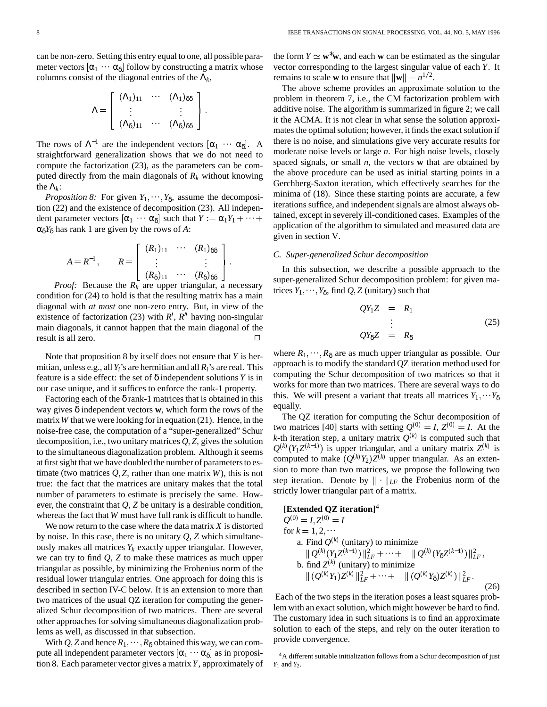can be non-zero. Setting this entry equal to one, all possible parameter vectors  $[\alpha_1 \cdots \alpha_\delta]$  follow by constructing a matrix whose columns consist of the diagonal entries of the  $\Lambda_k$ ,

$$
\Lambda = \left[ \begin{array}{ccc} (\Lambda_1)_{11} & \cdots & (\Lambda_1)_{\delta\delta} \\ \vdots & & \vdots \\ (\Lambda_\delta)_{11} & \cdots & (\Lambda_\delta)_{\delta\delta} \end{array} \right].
$$

The rows of  $\Lambda^{-1}$  are the independent vectors  $[\alpha_1 \cdots \alpha_\delta]$ . A straightforward generalization shows that we do not need to compute the factorization (23), as the parameters can be computed directly from the main diagonals of  $R_k$  without knowing the  $\Lambda_k$ :

*Proposition* 8: For given  $Y_1, \dots, Y_\delta$ , assume the decomposition (22) and the existence of decomposition (23). All independent parameter vectors  $[\alpha_1 \cdots \alpha_{\delta}]$  such that  $Y := \alpha_1 Y_1 + \cdots +$  alternatively  $\alpha_{\delta} Y_{\delta}$  has rank 1 are given by the rows of *A*:

$$
A = R^{-1}, \qquad R = \left[ \begin{array}{ccc} (R_1)_{11} & \cdots & (R_1)_{\delta\delta} \\ \vdots & & \vdots \\ (R_{\delta})_{11} & \cdots & (R_{\delta})_{\delta\delta} \end{array} \right].
$$

*Proof:* Because the  $R_k$  are upper triangular, a necessary condition for (24) to hold is that the resulting matrix has a main diagonal with *at most* one non-zero entry. But, in view of the existence of factorization (23) with  $R'$ ,  $R''$  having non-singular main diagonals, it cannot happen that the main diagonal of the result is all zero.

Note that proposition 8 by itself does not ensure that*Y* is hermitian, unless e.g., all*Yi*'s are hermitian and all *Ri*'s are real. This feature is a side effect: the set of δ independent solutions*Y* is in our case unique, and it suffices to enforce the rank-1 property.

Factoring each of the  $\delta$  rank-1 matrices that is obtained in this way gives  $\delta$  independent vectors **w**, which form the rows of the matrix  $W$  that we were looking for in equation  $(21)$ . Hence, in the noise-free case, the computation of a "super-generalized" Schur decomposition, i.e., two unitary matrices  $Q, Z$ , gives the solution to the simultaneous diagonalization problem. Although it seems at first sight that we have doubled the number of parameters to estimate (two matrices  $Q$ ,  $Z$ , rather than one matrix  $W$ ), this is not true: the fact that the matrices are unitary makes that the total number of parameters to estimate is precisely the same. However, the constraint that *Q*, *Z* be unitary is a desirable condition, whereas the fact that  $W$  must have full rank is difficult to handle.

We now return to the case where the data matrix *X* is distorted by noise. In this case, there is no unitary *Q*, *Z* which simultaneously makes all matrices  $Y_k$  exactly upper triangular. However, we can try to find *Q*, *Z* to make these matrices as much upper triangular as possible, by minimizing the Frobenius norm of the residual lower triangular entries. One approach for doing this is described in section IV-C below. It is an extension to more than two matrices of the usual QZ iteration for computing the generalized Schur decomposition of two matrices. There are several other approaches for solving simultaneous diagonalization problems as well, as discussed in that subsection.

With  $Q$ , Z and hence  $R_1, \dots, R_\delta$  obtained this way, we can compute all independent parameter vectors  $[\alpha_1 \cdots \alpha_{\delta}]$  as in proposition 8. Each parameter vector gives a matrix*Y*, approximately of the form  $Y \simeq \mathbf{w}^* \mathbf{w}$ , and each **w** can be estimated as the singular vector corresponding to the largest singular value of each *Y*. It remains to scale **w** to ensure that  $||\mathbf{w}|| = n^{1/2}$ .

The above scheme provides an approximate solution to the problem in theorem 7, i.e., the CM factorization problem with additive noise. The algorithm is summarized in figure 2; we call it the ACMA. It is not clear in what sense the solution approximates the optimal solution; however, it finds the exact solution if there is no noise, and simulations give very accurate results for moderate noise levels or large *n*. For high noise levels, closely spaced signals, or small *n*, the vectors **w** that are obtained by the above procedure can be used as initial starting points in a Gerchberg-Saxton iteration, which effectively searches for the minima of (18). Since these starting points are accurate, a few iterations suffice, and independent signals are almost always obtained, except in severely ill-conditioned cases. Examples of the application of the algorithm to simulated and measured data are given in section V.

#### *C. Super-generalized Schur decomposition*

In this subsection, we describe a possible approach to the super-generalized Schur decomposition problem: for given matrices  $Y_1, \dots, Y_\delta$ , find  $Q, Z$  (unitary) such that

$$
QY_1Z = R_1
$$
  
\n
$$
\vdots
$$
  
\n
$$
QY_8Z = R_8
$$
\n(25)

where  $R_1, \dots, R_\delta$  are as much upper triangular as possible. Our approach is to modify the standard QZ iteration method used for computing the Schur decomposition of two matrices so that it works for more than two matrices. There are several ways to do this. We will present a variant that treats all matrices  $Y_1, \cdots Y_\delta$ equally.

The QZ iteration for computing the Schur decomposition of two matrices [40] starts with setting  $Q^{(0)} = I$ ,  $Z^{(0)} = I$ . At the *k*-th iteration step, a unitary matrix  $Q^{(k)}$  is computed such that  $Q^{(k)}(Y_1 Z^{(k-1)})$  is upper triangular, and a unitary matrix  $Z^{(k)}$  is computed to make  $(Q^{(k)}Y_2)Z^{(k)}$  upper triangular. As an extension to more than two matrices, we propose the following two step iteration. Denote by  $\|\cdot\|_{LF}$  the Frobenius norm of the strictly lower triangular part of a matrix.

# **[Extended QZ iteration]**<sup>4</sup>

$$
Q^{(0)} = I, Z^{(0)} = I
$$
  
for  $k = 1, 2, \cdots$   
a. Find  $Q^{(k)}$  (unitary) to minimize  

$$
||Q^{(k)}(Y_1 Z^{(k-1)})||_{LF}^2 + \cdots + ||Q^{(k)}(Y_8 Z^{(k-1)})||_{LF}^2,
$$
  
b. find  $Z^{(k)}$  (unitary) to minimize  

$$
|| (Q^{(k)} Y_1) Z^{(k)} ||_{LF}^2 + \cdots + || (Q^{(k)} Y_8) Z^{(k)}) ||_{LF}^2.
$$
 (26)

Each of the two steps in the iteration poses a least squares problem with an exact solution, which might however be hard to find. The customary idea in such situations is to find an approximate solution to each of the steps, and rely on the outer iteration to provide convergence.

<sup>4</sup>A different suitable initialization follows from a Schur decomposition of just *Y*<sub>1</sub> and *Y*<sub>2</sub>.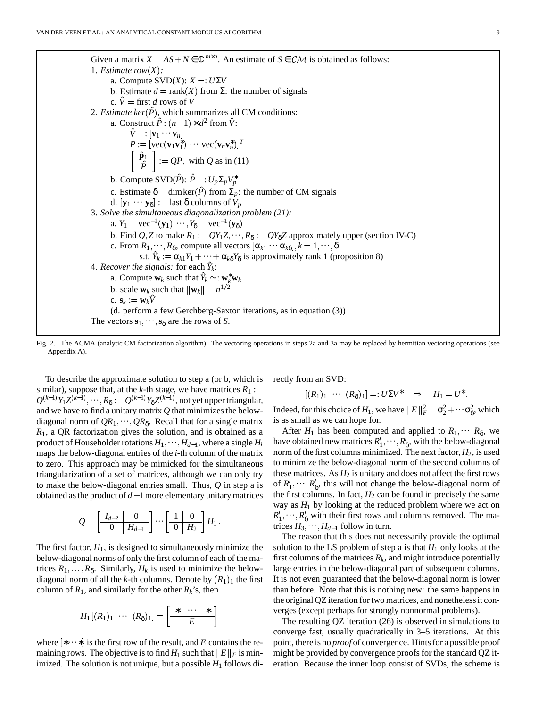Given a matrix  $X = AS + N \in \mathbb{C}^{m \times n}$ . An estimate of  $S \in \mathcal{CM}$  is obtained as follows: 1. *Estimate*  $row(X)$ : a. Compute  $SVD(X)$ :  $X =: U\Sigma V$ b. Estimate  $d = \text{rank}(X)$  from  $\Sigma$ : the number of signals c.  $\hat{V} = \text{first } d$  rows of *V* 2. *Estimate*  $\text{ker}(\hat{P})$ , which summarizes all CM conditions: a. Construct  $\hat{P}$  :  $(n-1) \times d^2$  from  $\hat{V}$ :  $\hat{V} =: [\mathbf{v}_1 \cdots \mathbf{v}_n]$  $P := [\text{vec}(\mathbf{v}_1 \mathbf{v}_1^*) \cdots \text{vec}(\mathbf{v}_n \mathbf{v}_n^*)]^T$  $\begin{bmatrix} \hat{\mathbf{p}}_1 \end{bmatrix}$  $\hat{P}^{\perp}$   $:=$  *QP*, with *Q* as in (11) b. Compute  $SVD(\hat{P})$ :  $\hat{P} =: U_p \Sigma_p V_p^*$ c. Estimate  $\delta = \dim \ker(\hat{P})$  from  $\Sigma_p$ : the number of CM signals d.  $[\mathbf{y}_1 \cdots \mathbf{y}_\delta] := \text{last } \delta \text{ columns of } V_p$ 3. *Solve the simultaneous diagonalization problem (21):* a.  $Y_1 = \text{vec}^{-1}(\mathbf{y}_1), \cdots, Y_{\delta} = \text{vec}^{-1}(\mathbf{y}_{\delta})$ b. Find  $Q$ , Z to make  $R_1 := QY_1Z, \dots, R_\delta := QY_\delta Z$  approximately upper (section IV-C) c. From  $R_1, \dots, R_\delta$ , compute all vectors  $[\alpha_{k1} \cdots \alpha_{k\delta}], k = 1, \dots, \delta$ s.t.  $\hat{Y}_k := \alpha_{k1} Y_1 + \dots + \alpha_{k\delta} Y_\delta$  is approximately rank 1 (proposition 8) 4. *Recover the signals:* for each  $\hat{Y}_k$ : a. Compute  $\mathbf{w}_k$  such that  $\hat{Y}_k \simeq: \mathbf{w}_k^* \mathbf{w}_k$ b. scale  $\mathbf{w}_k$  such that  $\|\mathbf{w}_k\| = n^{1/2}$ c.  $\mathbf{s}_k := \mathbf{w}_k \hat{V}$ (d. perform a few Gerchberg-Saxton iterations, as in equation (3)) The vectors  $\mathbf{s}_1, \dots, \mathbf{s}_\delta$  are the rows of *S*.

Fig. 2. The ACMA (analytic CM factorization algorithm). The vectoring operations in steps 2a and 3a may be replaced by hermitian vectoring operations (see Appendix A).

To describe the approximate solution to step a (or b, which is similar), suppose that, at the *k*-th stage, we have matrices  $R_1 :=$  $Q^{(k-1)}Y_1Z^{(k-1)},\cdots,R_\delta:=Q^{(k-1)}Y_\delta Z^{(k-1)},$  not yet upper triangular, and we have to find a unitary matrix  $Q$  that minimizes the belowdiagonal norm of  $QR_1, \dots, QR_\delta$ . Recall that for a single matrix *R*1, a QR factorization gives the solution, and is obtained as a product of Householder rotations  $H_1, \dots, H_{d-1}$ , where a single  $H_i$ maps the below-diagonal entries of the *i*-th column of the matrix to zero. This approach may be mimicked for the simultaneous triangularization of a set of matrices, although we can only try to make the below-diagonal entries small. Thus, *Q* in step a is obtained asthe product of *d*−1 more elementary unitary matrices

$$
Q = \left[\begin{array}{c|c} I_{d-2} & 0 \\ \hline 0 & H_{d-1} \end{array}\right] \cdots \left[\begin{array}{c|c} 1 & 0 \\ \hline 0 & H_2 \end{array}\right] H_1 \, .
$$

The first factor,  $H_1$ , is designed to simultaneously minimize the below-diagonal norms of only the first column of each of the matrices  $R_1, \ldots, R_\delta$ . Similarly,  $H_k$  is used to minimize the belowdiagonal norm of all the *k*-th columns. Denote by  $(R_1)_1$  the first column of  $R_1$ , and similarly for the other  $R_k$ 's, then

$$
H_1\big[(R_1)_1 \cdots (R_{\delta})_1\big] = \left[\begin{array}{ccc} * & \cdots & * \\ & E & \end{array}\right]
$$

where  $[*...*]$  is the first row of the result, and E contains the remaining rows. The objective is to find  $H_1$  such that  $||E||_F$  is minimized. The solution is not unique, but a possible  $H_1$  follows directly from an SVD:

$$
[(R_1)_1 \cdots (R_{\delta})_1] =: U\Sigma V^* \Rightarrow H_1 = U^*.
$$

Indeed, for this choice of  $H_1$ , we have  $||E||_F^2 = \sigma_2^2 + \cdots + \sigma_8^2$ , which is as small as we can hope for.

After  $H_1$  has been computed and applied to  $R_1, \dots, R_\delta$ , we have obtained new matrices  $R'_1, \dots, R'_8$ , with the below-diagonal norm of the first columns minimized. The next factor,  $H_2$ , is used to minimize the below-diagonal norm of the second columns of these matrices. As  $H_2$  is unitary and does not affect the first rows of  $R'_1, \dots, R'_8$ , this will not change the below-diagonal norm of the first columns. In fact,  $H_2$  can be found in precisely the same way as  $H_1$  by looking at the reduced problem where we act on  $R'_1, \dots, R'_8$  with their first rows and columns removed. The matrices  $H_3$ ,  $\dots$ ,  $H_{d-1}$  follow in turn.

The reason that this does not necessarily provide the optimal solution to the LS problem of step a is that  $H_1$  only looks at the first columns of the matrices  $R_k$ , and might introduce potentially large entries in the below-diagonal part of subsequent columns. It is not even guaranteed that the below-diagonal norm is lower than before. Note that this is nothing new: the same happens in the original QZ iteration fortwo matrices, and nonethelessit converges (except perhaps for strongly nonnormal problems).

The resulting QZ iteration (26) is observed in simulations to converge fast, usually quadratically in 3–5 iterations. At this point, there is no *proof* of convergence. Hints for a possible proof might be provided by convergence proofs for the standard QZ iteration. Because the inner loop consist of SVDs, the scheme is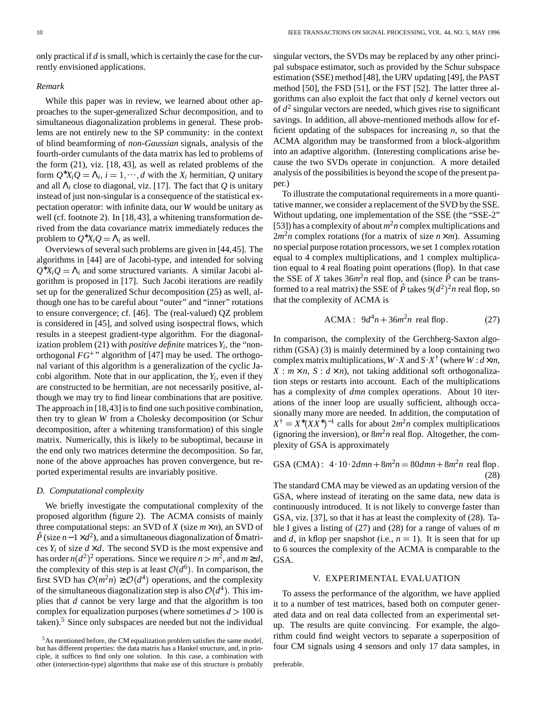only practicalif *d* issmall, which is certainly the case for the currently envisioned applications.

#### *Remark*

While this paper was in review, we learned about other approaches to the super-generalized Schur decomposition, and to simultaneous diagonalization problems in general. These problems are not entirely new to the SP community: in the context of blind beamforming of *non-Gaussian* signals, analysis of the fourth-order cumulants of the data matrix has led to problems of the form (21), viz. [18, 43], as well as related problems of the form  $Q^*X_iQ = \Lambda_i$ ,  $i = 1, \dots, d$  with the  $X_i$  hermitian, Q unitary and all Λ*<sup>i</sup>* close to diagonal, viz. [17]. The fact that *Q* is unitary instead of just non-singular is a consequence of the statistical expectation operator: with infinite data, our *W* would be unitary as well (cf. footnote 2). In [18, 43], a whitening transformation derived from the data covariance matrix immediately reduces the problem to  $Q^*X_iQ = \Lambda_i$  as well.

Overviews of several such problems are given in [44,45]. The algorithms in [44] are of Jacobi-type, and intended for solving  $Q^*X_iQ = \Lambda_i$  and some structured variants. A similar Jacobi algorithm is proposed in [17]. Such Jacobi iterations are readily set up for the generalized Schur decomposition (25) as well, although one has to be careful about "outer" and "inner" rotations to ensure convergence; cf. [46]. The (real-valued) QZ problem is considered in [45], and solved using isospectral flows, which results in a steepest gradient-type algorithm. For the diagonalization problem (21) with *positive definite* matrices*Y<sup>i</sup>* , the "nonorthogonal *FG* " algorithm of [47] may be used. The orthogonal variant of this algorithm is a generalization of the cyclic Jacobi algorithm. Note that in our application, the  $Y_i$ , even if they are constructed to be hermitian, are not necessarily positive, although we may try to find linear combinations that are positive. The approach in  $[18, 43]$  is to find one such positive combination, then try to glean *W* from a Cholesky decomposition (or Schur decomposition, after a whitening transformation) of this single matrix. Numerically, this is likely to be suboptimal, because in the end only two matrices determine the decomposition. So far, none of the above approaches has proven convergence, but reported experimental results are invariably positive.

#### *D. Computational complexity*

We briefly investigate the computational complexity of the proposed algorithm (figure 2). The ACMA consists of mainly three computational steps: an SVD of *X* (size  $m \times n$ ), an SVD of  $\hat{P}$  (size *n* − 1 × *d*<sup>2</sup>), and a simultaneous diagonalization of  $\delta$  matrices  $Y_i$  of size  $d \times d$ . The second SVD is the most expensive and has order  $n(d^2)^2$  operations. Since we require  $n > m^2$ , and  $m \ge d$ , the complexity of this step is at least  $O(d^6)$ . In comparison, the first SVD has  $\mathcal{O}(m^2n) \geq \mathcal{O}(d^4)$  operations, and the complexity of the simultaneous diagonalization step is also  $\mathcal{O}(d^4)$ . This implies that *d* cannot be very large and that the algorithm is too complex for equalization purposes (where sometimes  $d > 100$  is taken). $5$  Since only subspaces are needed but not the individual singular vectors, the SVDs may be replaced by any other principal subspace estimator, such as provided by the Schur subspace estimation (SSE) method [48], the URV updating [49], the PAST method [50], the FSD [51], or the FST [52]. The latter three algorithms can also exploit the fact that only *d* kernel vectors out of *d* 2 singular vectors are needed, which gives rise to significant savings. In addition, all above-mentioned methods allow for efficient updating of the subspaces for increasing *n*, so that the ACMA algorithm may be transformed from a block-algorithm into an adaptive algorithm. (Interesting complications arise because the two SVDs operate in conjunction. A more detailed analysis of the possibilities is beyond the scope of the present paper.)

To illustrate the computational requirements in a more quantitative manner, we consider a replacement of the SVD by the SSE. Without updating, one implementation of the SSE (the "SSE-2" [53]) has a complexity of about  $m^2n$  complex multiplications and  $2m<sup>2</sup>n$  complex rotations (for a matrix of size  $n \times m$ ). Assuming no special purpose rotation processors, we set 1 complex rotation equal to 4 complex multiplications, and 1 complex multiplication equal to 4 real floating point operations (flop). In that case the SSE of *X* takes  $36m^2n$  real flop, and (since  $\hat{P}$  can be transformed to a real matrix) the SSE of  $\hat{P}$  takes  $9(d^2)^2n$  real flop, so that the complexity of ACMA is

ACMA: 
$$
9d^4n + 36m^2n
$$
 real flop. (27)

In comparison, the complexity of the Gerchberg-Saxton algorithm (GSA) (3) is mainly determined by a loop containing two complex matrix multiplications,  $W \cdot X$  and  $S \cdot X^{\dagger}$  (where  $W : d \times m$ ,  $X : m \times n$ ,  $S : d \times n$ , not taking additional soft orthogonalization steps or restarts into account. Each of the multiplications has a complexity of *dmn* complex operations. About 10 iterations of the inner loop are usually sufficient, although occasionally many more are needed. In addition, the computation of  $X^{\dagger} = X^* (XX^*)^{-1}$  calls for about  $2m^2 n$  complex multiplications (ignoring the inversion), or  $8m^2n$  real flop. Altogether, the complexity of GSA is approximately

GSA (CMA): 
$$
4 \cdot 10 \cdot 2dmn + 8m^2n = 80dmn + 8m^2n
$$
 real flop. (28)

The standard CMA may be viewed as an updating version of the GSA, where instead of iterating on the same data, new data is continuously introduced. It is not likely to converge faster than GSA, viz. [37], so that it has at least the complexity of (28). Table I gives a listing of (27) and (28) for a range of values of *m* and  $d$ , in kflop per snapshot (i.e.,  $n = 1$ ). It is seen that for up to 6 sources the complexity of the ACMA is comparable to the GSA.

## V. EXPERIMENTAL EVALUATION

To assess the performance of the algorithm, we have applied it to a number of test matrices, based both on computer generated data and on real data collected from an experimental setup. The results are quite convincing. For example, the algorithm could find weight vectors to separate a superposition of four CM signals using 4 sensors and only 17 data samples, in

preferable.

<sup>&</sup>lt;sup>5</sup>As mentioned before, the CM equalization problem satisfies the same model, but has different properties: the data matrix has a Hankel structure, and, in principle, it suffices to find only one solution. In this case, a combination with other (intersection-type) algorithms that make use of this structure is probably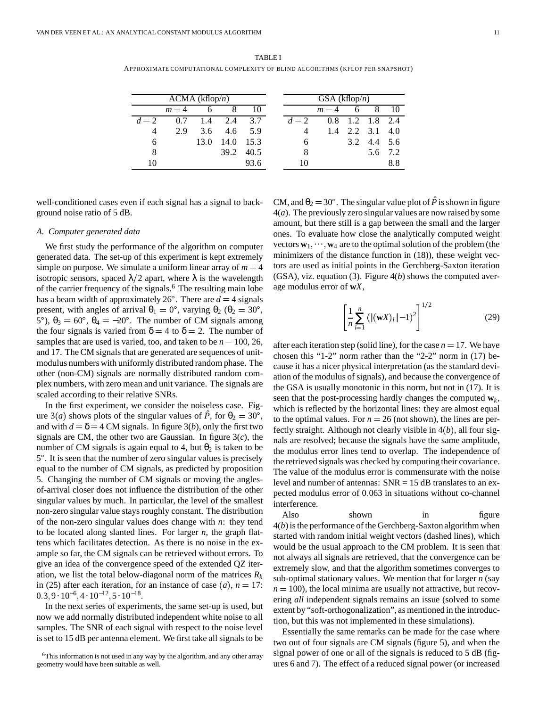TABLE I APPROXIMATE COMPUTATIONAL COMPLEXITY OF BLIND ALGORITHMS (KFLOP PER SNAPSHOT)

| ACMA (kflop/n) |       |      |             |           | GSA(kflop/n)   |       |   |                 |       |  |
|----------------|-------|------|-------------|-----------|----------------|-------|---|-----------------|-------|--|
|                | $m=4$ | 6    |             | 10        |                | $m=4$ | 6 | 8               | -10   |  |
| $d=2$          | 0.7   |      | $1.4$ 2.4   | 3.7       | $d=2$          |       |   | 0.8 1.2 1.8 2.4 |       |  |
| 4              | 2.9   |      | 3.6 4.6 5.9 |           | $\overline{4}$ | 1.4   |   | 2.2 3.1 4.0     |       |  |
| 6              |       | 13.0 | 14.0        | 15.3      | 6              |       |   | 3.2 4.4 5.6     |       |  |
| 8              |       |      |             | 39.2 40.5 | 8              |       |   |                 | 56 72 |  |
| 10             |       |      |             | 93.6      | 10             |       |   |                 | 8.8   |  |

well-conditioned cases even if each signal has a signal to background noise ratio of 5 dB.

#### *A. Computer generated data*

We first study the performance of the algorithm on computer generated data. The set-up of this experiment is kept extremely simple on purpose. We simulate a uniform linear array of  $m = 4$  tors are us isotropic sensors, spaced  $\lambda/2$  apart, where  $\lambda$  is the wavelength of the carrier frequency of the signals.<sup>6</sup> The resulting main lobe has a beam width of approximately  $26^{\circ}$ . There are  $d = 4$  signals present, with angles of arrival  $\theta_1 = 0^\circ$ , varying  $\theta_2$  ( $\theta_2 = 30^\circ$ , 5°),  $θ_3 = 60$ °,  $θ_4 = -20$ °. The number of CM signals among the four signals is varied from  $\delta = 4$  to  $\delta = 2$ . The number of samples that are used is varied, too, and taken to be  $n = 100, 26$ , after and 17. The CM signals that are generated are sequences of unitmodulus numbers with uniformly distributed random phase. The other (non-CM) signals are normally distributed random complex numbers, with zero mean and unit variance. The signals are scaled according to their relative SNRs.

In the first experiment, we consider the noiseless case. Figure 3(*a*) shows plots of the singular values of  $\hat{P}$ , for  $\theta_2 = 30^{\circ}$ , to the *c* and with  $d = \delta = 4$  CM signals. In figure 3(*b*), only the first two signals are CM, the other two are Gaussian. In figure 3(*c*), the number of CM signals is again equal to 4, but  $\theta_2$  is taken to be  $5^\circ$ . It is seen that the number of zero singular values is precisely equal to the number of CM signals, as predicted by proposition 5. Changing the number of CM signals or moving the anglesof-arrival closer does not influence the distribution of the other singular values by much. In particular, the level of the smallest non-zero singular value stays roughly constant. The distribution of the non-zero singular values does change with *n*: they tend to be located along slanted lines. For larger *n*, the graph flattens which facilitates detection. As there is no noise in the example so far, the CM signals can be retrieved without errors. To give an idea of the convergence speed of the extended QZ iteration, we list the total below-diagonal norm of the matrices *R<sup>k</sup>* in (25) after each iteration, for an instance of case (a),  $n = 17$ :  $\frac{17}{n-100}$  $0.3, 9 \cdot 10^{-6}, 4 \cdot 10^{-12}, 5 \cdot 10^{-18}.$ 

In the next series of experiments, the same set-up is used, but now we add normally distributed independent white noise to all samples. The SNR of each signal with respect to the noise level is set to 15 dB per antenna element. We first take all signals to be

CM, and  $\theta_2 = 30^\circ$ . The singular value plot of  $\hat{P}$  is shown in figure 4(*a*). The previously zero singular values are now raised by some amount, but there still is a gap between the small and the larger ones. To evaluate how close the analytically computed weight vectors  $w_1, \dots, w_4$  are to the optimal solution of the problem (the minimizers of the distance function in (18)), these weight vectors are used as initial points in the Gerchberg-Saxton iteration (GSA), viz. equation (3). Figure 4(*b*) shows the computed average modulus error of **w***X*,

$$
\left[\frac{1}{n}\sum_{i=1}^{n}(|(\mathbf{w}X)_i|-1)^2\right]^{1/2}
$$
 (29)

after each iteration step (solid line), for the case  $n = 17$ . We have chosen this "1-2" norm rather than the "2-2" norm in (17) because it has a nicer physical interpretation (as the standard deviation of the modulus of signals), and because the convergence of the GSA is usually monotonic in this norm, but not in (17). It is seen that the post-processing hardly changes the computed **w***<sup>k</sup>* , which is reflected by the horizontal lines: they are almost equal to the optimal values. For  $n = 26$  (not shown), the lines are perfectly straight. Although not clearly visible in  $4(b)$ , all four signals are resolved; because the signals have the same amplitude, the modulus error lines tend to overlap. The independence of the retrieved signals was checked by computing their covariance. The value of the modulus error is commensurate with the noise level and number of antennas:  $SNR = 15$  dB translates to an expected modulus error of 0.063 in situations without co-channel interference.

Also shown in figure  $4(b)$  is the performance of the Gerchberg-Saxton algorithm when started with random initial weight vectors (dashed lines), which would be the usual approach to the CM problem. It is seen that not always all signals are retrieved, that the convergence can be extremely slow, and that the algorithm sometimes converges to sub-optimal stationary values. We mention that for larger *n* (say  $n = 100$ ), the local minima are usually not attractive, but recovering *all* independent signals remains an issue (solved to some extent by "soft-orthogonalization", as mentioned in the introduction, but this was not implemented in these simulations).

Essentially the same remarks can be made for the case where two out of four signals are CM signals (figure 5), and when the signal power of one or all of the signals is reduced to 5 dB (figures 6 and 7). The effect of a reduced signal power (or increased

<sup>&</sup>lt;sup>6</sup>This information is not used in any way by the algorithm, and any other array geometry would have been suitable as well.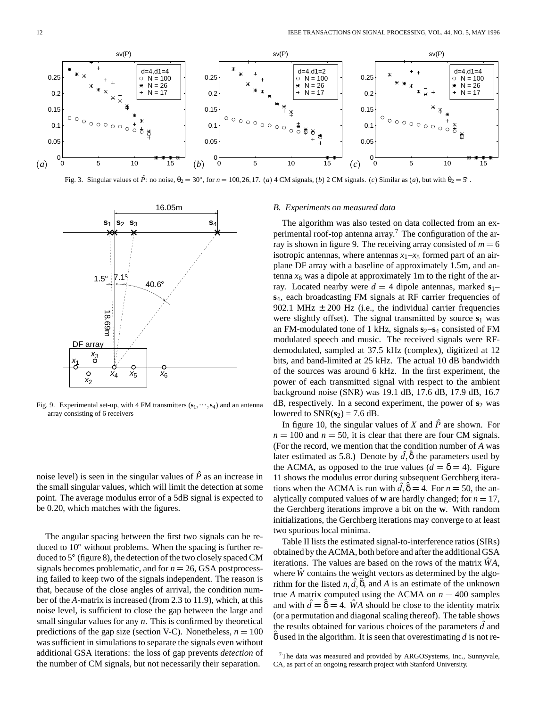

Fig. 3. Singular values of  $\hat{P}$ : no noise,  $\theta_2 = 30^\circ$ , for  $n = 100, 26, 17$ . (a) 4 CM signals, (b) 2 CM signals. (c) Similar as (a), but with  $\theta_2 = 5^\circ$ .



Fig. 9. Experimental set-up, with 4 FM transmitters  $(s_1, \dots, s_4)$  and an antenna array consisting of 6 receivers

noise level) is seen in the singular values of  $\hat{P}$  as an increase in the small singular values, which will limit the detection at some point. The average modulus error of a 5dB signal is expected to be 0.20, which matches with the figures.

The angular spacing between the first two signals can be reduced to  $10^{\circ}$  without problems. When the spacing is further reduced to  $5^{\circ}$  (figure 8), the detection of the two closely spaced CM signals becomes problematic, and for  $n = 26$ , GSA postprocessing failed to keep two of the signals independent. The reason is that, because of the close angles of arrival, the condition number of the *A*-matrix is increased (from 2.3 to 11.9), which, at this noise level, is sufficient to close the gap between the large and small singular values for any *n*. This is confirmed by theoretical predictions of the gap size (section V-C). Nonetheless,  $n = 100$  and is was sufficient in simulations to separate the signals even without additional GSA iterations: the loss of gap prevents *detection* of the number of CM signals, but not necessarily their separation.

## *B. Experiments on measured data*

The algorithm was also tested on data collected from an experimental roof-top antenna array.<sup>7</sup> The configuration of the array is shown in figure 9. The receiving array consisted of  $m = 6$ isotropic antennas, where antennas  $x_1-x_5$  formed part of an airplane DF array with a baseline of approximately 1.5m, and antenna  $x<sub>6</sub>$  was a dipole at approximately 1m to the right of the array. Located nearby were  $d = 4$  dipole antennas, marked  $s_1$ – **s**4, each broadcasting FM signals at RF carrier frequencies of 902.1 MHz  $\pm$  200 Hz (i.e., the individual carrier frequencies were slightly offset). The signal transmitted by source  $s_1$  was an FM-modulated tone of 1 kHz, signals  $s_2-s_4$  consisted of FM modulated speech and music. The received signals were RFdemodulated, sampled at 37.5 kHz (complex), digitized at 12 bits, and band-limited at 25 kHz. The actual 10 dB bandwidth of the sources was around 6 kHz. In the first experiment, the power of each transmitted signal with respect to the ambient background noise (SNR) was 19.1 dB, 17.6 dB, 17.9 dB, 16.7  $dB$ , respectively. In a second experiment, the power of  $s_2$  was lowered to  $SNR(s_2) = 7.6$  dB.

In figure 10, the singular values of *X* and  $\hat{P}$  are shown. For  $n = 100$  and  $n = 50$ , it is clear that there are four CM signals. (For the record, we mention that the condition number of *A* was later estimated as 5.8.) Denote by  $\hat{d}$ ,  $\hat{\delta}$  the parameters used by the ACMA, as opposed to the true values  $(d = \delta = 4)$ . Figure 11 shows the modulus error during subsequent Gerchberg iterations when the ACMA is run with  $\hat{d}$ ,  $\hat{\delta} = 4$ . For  $n = 50$ , the analytically computed values of **w** are hardly changed; for  $n = 17$ , the Gerchberg iterations improve a bit on the **w**. With random initializations, the Gerchberg iterations may converge to at least two spurious local minima.

Table II lists the estimated signal-to-interference ratios (SIRs) obtained by the ACMA, both before and after the additional GSA iterations. The values are based on the rows of the matrix  $\ddot{W}A$ , where  $\hat{W}$  contains the weight vectors as determined by the algorithm for the listed  $n, \hat{d}, \hat{\delta}$ , and A is an estimate of the unknown true *A* matrix computed using the ACMA on  $n = 400$  samples and with  $\hat{d} = \hat{\delta} = 4$ . *WA* should be close to the identity matrix (or a permutation and diagonal scaling thereof). The table shows the results obtained for various choices of the parameters *d*ˆ and ˆδ used in the algorithm. It is seen that overestimating *d* is not re-

 $7$ The data was measured and provided by ARGOSystems, Inc., Sunnyvale, CA, as part of an ongoing research project with Stanford University.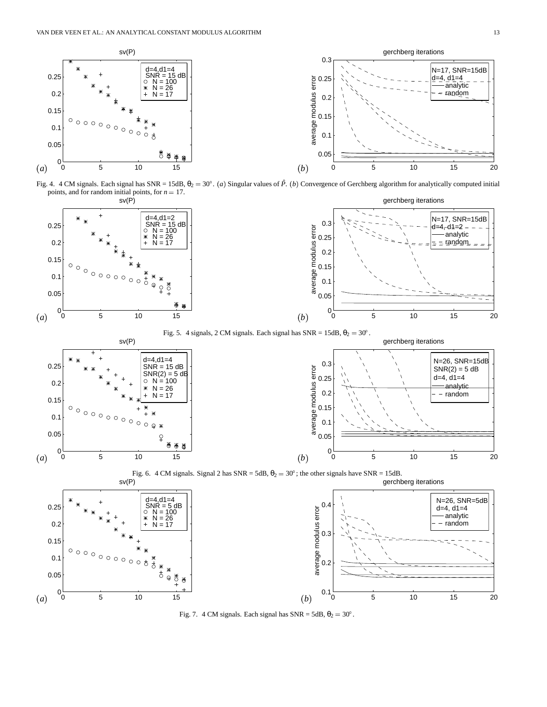

Fig. 4. 4 CM signals. Each signal has SNR = 15dB,  $\theta_2 = 30^\circ$ . (a) Singular values of  $\hat{P}$ . (b) Convergence of Gerchberg algorithm for analytically computed initial points, and for random initial points, for  $n = 17$ .



Fig. 5. 4 signals, 2 CM signals. Each signal has  $SNR = 15dB$ ,  $\theta_2 = 30^\circ$ .







Fig. 7. 4 CM signals. Each signal has  $SNR = 5dB$ ,  $\theta_2 = 30^\circ$ .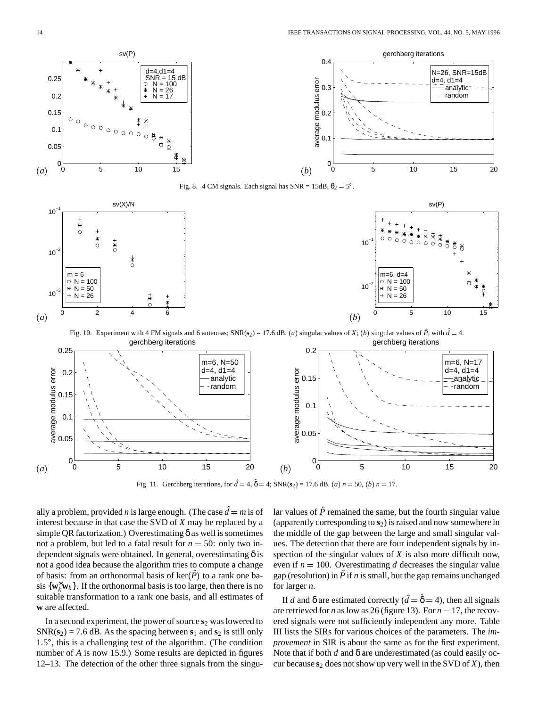

Fig. 10. Experiment with 4 FM signals and 6 antennas; SNR( $s_2$ ) = 17.6 dB. (*a*) singular values of *X*; (*b*) singular values of  $\hat{P}$ , with  $\hat{d} = 4$ . gerchberg iterations gerchberg iterations



Fig. 11. Gerchberg iterations, for  $\hat{d} = 4$ ,  $\hat{\delta} = 4$ ; SNR( $s_2$ ) = 17.6 dB. (*a*)  $n = 50$ , (*b*)  $n = 17$ .

ally a problem, provided *n* is large enough. (The case  $\hat{d} = m$  is of lar va interest because in that case the SVD of *X* may be replaced by a simple QR factorization.) Overestimating  $\delta$  as well is sometimes not a problem, but led to a fatal result for  $n = 50$ : only two independent signals were obtained. In general, overestimating  $\delta$  is not a good idea because the algorithm tries to compute a change of basis: from an orthonormal basis of  $\text{ker}(\hat{P})$  to a rank one basis  $\{w_k^* w_k\}$ . If the orthonormal basis is too large, then there is no suitable transformation to a rank one basis, and all estimates of **w** are affected.

In a second experiment, the power of source  $s_2$  was lowered to  $SNR(s_2) = 7.6$  dB. As the spacing between  $s_1$  and  $s_2$  is still only  $1.5^{\circ}$ , this is a challenging test of the algorithm. (The condition number of *A* is now 15.9.) Some results are depicted in figures 12–13. The detection of the other three signals from the singu-

lar values of  $\hat{P}$  remained the same, but the fourth singular value (apparently corresponding to  $s<sub>2</sub>$ ) is raised and now somewhere in the middle of the gap between the large and small singular values. The detection that there are four independent signals by inspection of the singular values of *X* is also more difficult now, even if  $n = 100$ . Overestimating *d* decreases the singular value gap (resolution) in  $\hat{P}$  if *n* is small, but the gap remains unchanged for larger *n*.

If *d* and  $\delta$  are estimated correctly ( $\hat{d} = \hat{\delta} = 4$ ), then all signals are retrieved for *n* as low as 26 (figure 13). For  $n = 17$ , the recovered signals were not sufficiently independent any more. Table III lists the SIRs for various choices of the parameters. The *improvement* in SIR is about the same as for the first experiment. Note that if both *d* and δ are underestimated (as could easily occur because  $s_2$  does not show up very well in the SVD of  $X$ ), then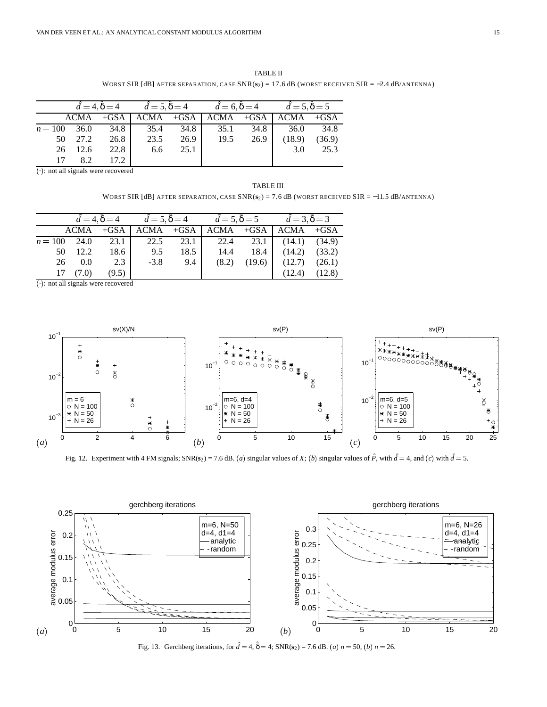TABLE II WORST SIR [dB] AFTER SEPARATION, CASE SNR( $s$ <sub>2</sub>) = 17.6 dB (WORST RECEIVED SIR = −2.4 dB/ANTENNA)

|           |         |      | $\hat{d} = 4, \hat{\delta} = 4$ $\hat{d} = 5, \hat{\delta} = 4$ $\hat{d} = 6, \hat{\delta} = 4$ $\hat{d} = 5, \hat{\delta} = 5$ |      |                                                 |      |        |        |  |
|-----------|---------|------|---------------------------------------------------------------------------------------------------------------------------------|------|-------------------------------------------------|------|--------|--------|--|
|           |         |      |                                                                                                                                 |      | $ACMA$ +GSA $ACMA$ +GSA $ACMA$ +GSA $ACMA$ +GSA |      |        |        |  |
| $n = 100$ | 36.0    |      | 34.8 35.4                                                                                                                       | 34.8 | 35.1                                            | 34.8 | 36.0   | - 34.8 |  |
|           | 50 27.2 | 26.8 | 23.5                                                                                                                            | 26.9 | 19.5                                            | 26.9 | (18.9) | (36.9) |  |
|           | 26 12.6 | 22.8 | 6.6                                                                                                                             | 25.1 |                                                 |      | 3.0    | 25.3   |  |
| 17        | 82      | 17.2 |                                                                                                                                 |      |                                                 |      |        |        |  |

 $\overline{(\cdot)}$ : not all signals were recovered

TABLE III WORST SIR [dB] AFTER SEPARATION, CASE SNR( $s_2$ ) = 7.6 dB (WORST RECEIVED SIR = -11.5 dB/ANTENNA)

|           |       |       | $\hat{d} = 4, \hat{\delta} = 4$ $\hat{d} = 5, \hat{\delta} = 4$ $\hat{d} = 5, \hat{\delta} = 5$ $\hat{d} = 3, \hat{\delta} = 3$ |      |                                                  |                            |  |  |
|-----------|-------|-------|---------------------------------------------------------------------------------------------------------------------------------|------|--------------------------------------------------|----------------------------|--|--|
|           | ACMA  |       |                                                                                                                                 |      | $+GSA$   ACMA $+GSA$   ACMA $+GSA$   ACMA $+GSA$ |                            |  |  |
| $n = 100$ | 24.0  | 23.1  | 22.5                                                                                                                            |      | 23.1 22.4 23.1 (14.1) (34.9)                     |                            |  |  |
| 50        | 12.2  | 18.6  | 9.5                                                                                                                             | 18.5 | 14.4                                             | $18.4$ $(14.2)$ $(33.2)$   |  |  |
| 26        | 0.0   | 2.3   | $-3.8$                                                                                                                          | 9.4  | (8.2)                                            | $(19.6)$ $(12.7)$ $(26.1)$ |  |  |
| 17        | (7.0) | (9.5) |                                                                                                                                 |      |                                                  | $(12.4)$ $(12.8)$          |  |  |

 $\overline{(\cdot)}$ : not all signals were recovered



Fig. 12. Experiment with 4 FM signals; SNR( $s_2$ ) = 7.6 dB. (*a*) singular values of *X*; (*b*) singular values of  $\hat{P}$ , with  $\hat{d} = 4$ , and (*c*) with  $\hat{d} = 5$ .



Fig. 13. Gerchberg iterations, for  $\hat{d} = 4$ ,  $\hat{\delta} = 4$ ; SNR( $s_2$ ) = 7.6 dB. (*a*)  $n = 50$ , (*b*)  $n = 26$ .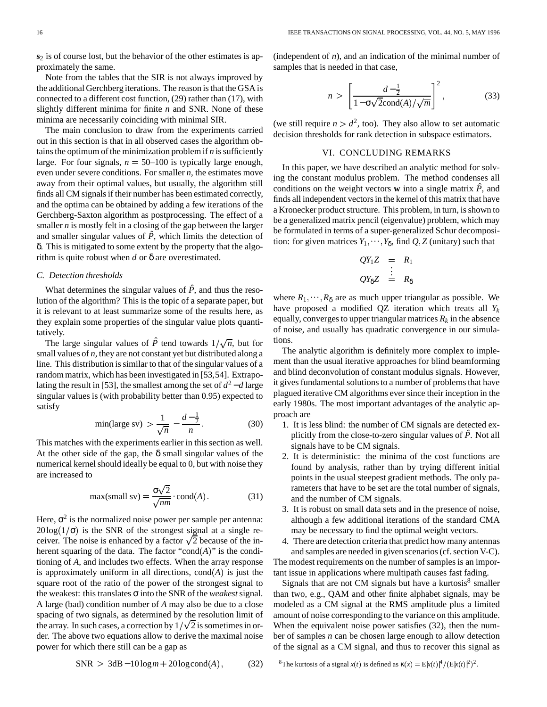**s**<sup>2</sup> is of course lost, but the behavior of the other estimates is approximately the same.

Note from the tables that the SIR is not always improved by the additional Gerchberg iterations. The reason is that the GSA is connected to a different cost function, (29) rather than (17), with slightly different minima for finite *n* and SNR. None of these minima are necessarily coinciding with minimal SIR.

The main conclusion to draw from the experiments carried out in this section is that in all observed cases the algorithm obtains the optimum of the minimization problem if  $n$  is sufficiently large. For four signals,  $n = 50{\text -}100$  is typically large enough, even under severe conditions. For smaller *n*, the estimates move away from their optimal values, but usually, the algorithm still finds all CM signals if their number has been estimated correctly, and the optima can be obtained by adding a few iterations of the Gerchberg-Saxton algorithm as postprocessing. The effect of a smaller *n* is mostly felt in a closing of the gap between the larger and smaller singular values of  $\hat{P}$ , which limits the detection of δ. This is mitigated to some extent by the property that the algorithm is quite robust when *d* or δ are overestimated.

## *C. Detection thresholds*

What determines the singular values of  $\hat{P}$ , and thus the resolution of the algorithm? This is the topic of a separate paper, but it is relevant to at least summarize some of the results here, as they explain some properties of the singular value plots quantitatively.

The large singular values of  $\hat{P}$  tend towards  $1/\sqrt{n}$ , but for small values of  $n$ , they are not constant yet but distributed along a line. This distribution is similar to that of the singular values of a random matrix, which has been investigated in [53,54]. Extrapolating the result in [53], the smallest among the set of  $d^2 - d$  large singular values is (with probability better than 0.95) expected to satisfy

$$
\min(\text{large sv}) > \frac{1}{\sqrt{n}} - \frac{d - \frac{1}{2}}{n} \,. \tag{30}
$$

This matches with the experiments earlier in this section as well. At the other side of the gap, the  $\delta$  small singular values of the numerical kernel should ideally be equal to  $0$ , but with noise they are increased to

$$
\max(\text{small sv}) = \frac{\sigma\sqrt{2}}{\sqrt{nm}} \cdot \text{cond}(A). \tag{31}
$$

Here,  $\sigma^2$  is the normalized noise power per sample per antenna:  $20\log(1/\sigma)$  is the SNR of the strongest signal at a single receiver. The noise is enhanced by a factor  $\sqrt{2}$  because of the inherent squaring of the data. The factor "cond $(A)$ " is the conditioning of *A*, and includes two effects. When the array response is approximately uniform in all directions,  $cond(A)$  is just the square root of the ratio of the power of the strongest signal to the weakest: this translates σ into theSNR of the *weakest*signal. A large (bad) condition number of *A* may also be due to a close spacing of two signals, as determined by the resolution limit of the array. In such cases, a correction by  $1/\sqrt{2}$  is sometimes in order. The above two equations allow to derive the maximal noise power for which there still can be a gap as

(independent of *n*), and an indication of the minimal number of samples that is needed in that case,

$$
n > \left[\frac{d-\frac{1}{2}}{1-\sigma\sqrt{2}\text{cond}(A)/\sqrt{m}}\right]^2, \tag{33}
$$

(we still require  $n > d^2$ , too). They also allow to set automatic decision thresholds for rank detection in subspace estimators.

# VI. CONCLUDING REMARKS

In this paper, we have described an analytic method for solving the constant modulus problem. The method condenses all conditions on the weight vectors **w** into a single matrix  $\hat{P}$ , and finds allindependent vectorsin the kernel of this matrix that have a Kronecker product structure. This problem, in turn, is shown to be a generalized matrix pencil (eigenvalue) problem, which may be formulated in terms of a super-generalized Schur decomposition: for given matrices  $Y_1, \dots, Y_\delta$ , find  $Q, Z$  (unitary) such that

$$
QY_1Z = R_1
$$
  

$$
\vdots
$$
  

$$
QY_{\delta}Z = R_{\delta}
$$

where  $R_1, \dots, R_\delta$  are as much upper triangular as possible. We have proposed a modified QZ iteration which treats all *Y<sup>k</sup>* equally, converges to upper triangular matrices  $R_k$  in the absence of noise, and usually has quadratic convergence in our simulations.

The analytic algorithm is definitely more complex to implement than the usual iterative approaches for blind beamforming and blind deconvolution of constant modulus signals. However, it gives fundamental solutions to a number of problems that have plagued iterative CM algorithms ever since their inception in the early 1980s. The most important advantages of the analytic approach are

- 1. It is less blind: the number of CM signals are detected explicitly from the close-to-zero singular values of  $\hat{P}$ . Not all signals have to be CM signals.
- 2. It is deterministic: the minima of the cost functions are found by analysis, rather than by trying different initial points in the usual steepest gradient methods. The only parameters that have to be set are the total number of signals, and the number of CM signals.
- 3. It is robust on small data sets and in the presence of noise, although a few additional iterations of the standard CMA may be necessary to find the optimal weight vectors.
- 4. There are detection criteria that predict how many antennas and samples are needed in given scenarios (cf. section V-C).

The modest requirements on the number of samples is an important issue in applications where multipath causes fast fading.

Signals that are not CM signals but have a kurtosis $8$  smaller than two, e.g., QAM and other finite alphabet signals, may be modeled as a CM signal at the RMS amplitude plus a limited amount of noise corresponding to the variance on this amplitude. When the equivalent noise power satisfies (32), then the number of samples *n* can be chosen large enough to allow detection of the signal as a CM signal, and thus to recover this signal as

$$
SNR > 3dB - 10\log m + 20\log cond(A), \tag{32}
$$

<sup>&</sup>lt;sup>8</sup>The kurtosis of a signal  $x(t)$  is defined as  $\kappa(x) = E|x(t)|^4 / (E|x(t)|^2)^2$ .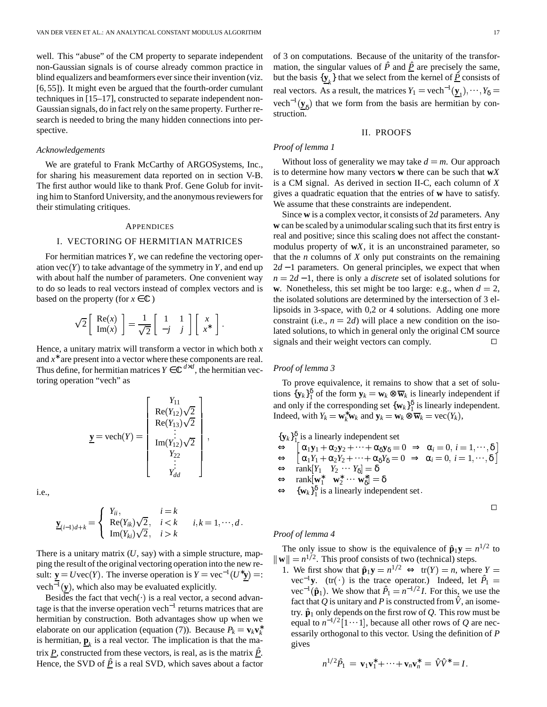well. This "abuse" of the CM property to separate independent non-Gaussian signals is of course already common practice in blind equalizers and beamformers eversince their invention (viz. [6, 55]). It might even be argued that the fourth-order cumulant techniques in [15–17], constructed to separate independent non-Gaussian signals, do in fact rely on the same property. Further research is needed to bring the many hidden connections into perspective.

#### *Acknowledgements*

We are grateful to Frank McCarthy of ARGOSystems, Inc., for sharing his measurement data reported on in section V-B. The first author would like to thank Prof. Gene Golub for inviting him to Stanford University, and the anonymous reviewers for their stimulating critiques.

#### **APPENDICES**

#### I. VECTORING OF HERMITIAN MATRICES

For hermitian matrices*Y*, we can redefine the vectoring operation  $\text{vec}(Y)$  to take advantage of the symmetry in Y, and end up with about half the number of parameters. One convenient way to do so leads to real vectors instead of complex vectors and is based on the property (for  $x \in \mathbb{C}$ )

$$
\sqrt{2}\left[\begin{array}{c} \text{Re}(x) \\ \text{Im}(x) \end{array}\right] = \frac{1}{\sqrt{2}} \left[\begin{array}{cc} 1 & 1 \\ -j & j \end{array}\right] \left[\begin{array}{c} x \\ x^* \end{array}\right].
$$

Hence, a unitary matrix will transform a vector in which both *x* and  $x^*$  are present into a vector where these components are real. Thus define, for hermitian matrices  $Y \in \mathbb{C}^{d \times d}$ , the hermitian vectoring operation "vech" as

$$
\underline{\mathbf{y}} = \text{vech}(Y) = \begin{bmatrix} Y_{11} \\ \text{Re}(Y_{12})\sqrt{2} \\ \text{Re}(Y_{13})\sqrt{2} \\ \vdots \\ \text{Im}(Y_{12})\sqrt{2} \\ Y_{22} \\ \vdots \\ Y_{dd} \end{bmatrix},
$$

i.e.,

$$
\underline{\mathbf{y}}_{(i-1)d+k} = \begin{cases} Y_{ii}, & i=k \\ \text{Re}(Y_{ik})\sqrt{2}, & i < k \\ \text{Im}(Y_{ki})\sqrt{2}, & i > k \end{cases} i, k = 1, \cdots, d.
$$

There is a unitary matrix  $(U, say)$  with a simple structure, mapping the result of the original vectoring operation into the new result: **y** = *U* vec(*Y*). The inverse operation is  $Y = \text{vec}^{-1}(U^*y) =:$  <sup>1. We find</sup> vech<sup>-1</sup>(y), which also may be evaluated explicitly.

Besides the fact that vech $(\cdot)$  is a real vector, a second advantage is that the inverse operation vech<sup>-1</sup> returns matrices that are hermitian by construction. Both advantages show up when we elaborate on our application (equation (7)). Because  $P_k = \mathbf{v}_k \mathbf{v}_k^*$ is hermitian,  $\underline{\mathbf{p}}_k$  is a real vector. The implication is that the matrix  $P$ , constructed from these vectors, is real, as is the matrix  $\hat{P}$ . Hence, the SVD of  $\hat{P}$  is a real SVD, which saves about a factor

of 3 on computations. Because of the unitarity of the transformation, the singular values of  $\hat{P}$  and  $\hat{P}$  are precisely the same, but the basis  $\{y_k\}$  that we select from the kernel of  $\hat{P}$  consists of real vectors. As a result, the matrices  $Y_1 = \text{vech}^{-1}(\underline{y}_1), \dots, Y_\delta =$  $vech^{-1}(\underline{y}_{\delta})$  that we form from the basis are hermitian by construction.

## II. PROOFS

# *Proof of lemma 1*

Without loss of generality we may take  $d = m$ . Our approach is to determine how many vectors **w** there can be such that **w***X* is a CM signal. As derived in section II-C, each column of *X* gives a quadratic equation that the entries of **w** have to satisfy. We assume that these constraints are independent.

Since  $\bf{w}$  is a complex vector, it consists of 2*d* parameters. Any **w** can be scaled by a unimodular scaling such that its first entry is real and positive; since this scaling does not affect the constantmodulus property of **w***X*, it is an unconstrained parameter, so that the *n* columns of *X* only put constraints on the remaining 2*d* − 1 parameters. On general principles, we expect that when *n* = 2*d* − 1, there is only a *discrete* set of isolated solutions for **w**. Nonetheless, this set might be too large: e.g., when  $d = 2$ , the isolated solutions are determined by the intersection of 3 ellipsoids in 3-space, with 0,2 or 4 solutions. Adding one more constraint (i.e.,  $n = 2d$ ) will place a new condition on the isolated solutions, to which in general only the original CM source signals and their weight vectors can comply.

## *Proof of lemma 3*

To prove equivalence, it remains to show that a set of solutions  $\{y_k\}_1^{\delta}$  of the form  $y_k = w_k \otimes \overline{w}_k$  is linearly independent if and only if the corresponding set  $\{w_k\}_{1}^{\delta}$  is linearly independent. Indeed, with  $Y_k = \mathbf{w}_k^* \mathbf{w}_k$  and  $\mathbf{y}_k = \mathbf{w}_k \otimes \mathbf{\overline{w}}_k = \text{vec}(Y_k)$ ,

 ${\bf \{y}_k\}_1^{\delta}$  is a linearly independent set

- $\leftrightarrow$   $\left[\alpha_1 \mathbf{y}_1 + \alpha_2 \mathbf{y}_2 + \cdots + \alpha_{\delta} \mathbf{y}_{\delta} = 0 \Rightarrow \alpha_i = 0, i = 1, \cdots, \delta\right]$
- $\Leftrightarrow \left[ \alpha_1 Y_1 + \alpha_2 Y_2 + \cdots + \alpha_{\delta} Y_{\delta} = 0 \Rightarrow \alpha_i = 0, i = 1, \cdots, \delta \right]$

 $\Leftrightarrow$  rank  $[Y_1 \quad Y_2 \cdots Y_\delta] = \delta$ 

- $\Leftrightarrow$   $\text{rank}[\mathbf{w}_1^* \quad \mathbf{w}_2^* \ \cdots \ \mathbf{w}_\delta^*] = \delta$
- $\Leftrightarrow \{w_k\}_{1}^{\delta}$  is a linearly independent set.

 $\Box$ 

#### *Proof of lemma 4*

The only issue to show is the equivalence of  $\hat{\mathbf{p}}_1 \mathbf{y} = n^{1/2}$  to  $\|\mathbf{w}\| = n^{1/2}$ . This proof consists of two (technical) steps.

1. We first show that  $\hat{\mathbf{p}}_1 \mathbf{y} = n^{1/2} \iff \text{tr}(Y) = n$ , where  $Y =$ vec<sup>-1</sup>y. (tr(·) is the trace operator.) Indeed, let  $\hat{P}_1$  = vec<sup>-1</sup>( $\hat{\mathbf{p}}_1$ ). We show that  $\hat{P}_1 = n^{-1/2}I$ . For this, we use the fact that Q is unitary and P is constructed from  $\hat{V}$ , an isometry.  $\hat{\mathbf{p}}_1$  only depends on the first row of *Q*. This row must be equal to  $n^{-1/2}$  [1 ···1], because all other rows of *Q* are necessarily orthogonal to this vector. Using the definition of *P* gives

$$
n^{1/2}\hat{P}_1 = \mathbf{v}_1\mathbf{v}_1^* + \cdots + \mathbf{v}_n\mathbf{v}_n^* = \hat{V}\hat{V}^* = I.
$$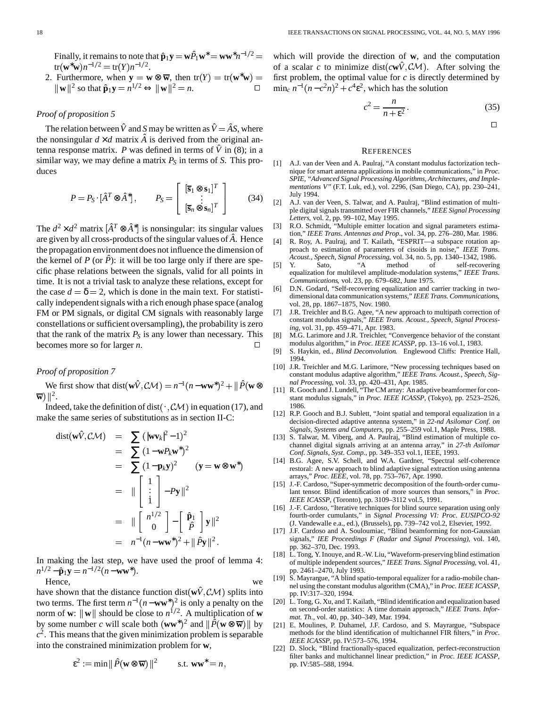Finally, it remains to note that  $\hat{\mathbf{p}}_1 \mathbf{y} = \mathbf{w} \hat{P}_1 \mathbf{w}^* = \mathbf{w} \mathbf{w}^* n^{-1/2} = 0$  $tr(\mathbf{w}^*\mathbf{w})n^{-1/2} = tr(Y)n^{-1/2}.$ 

2. Furthermore, when  $y = w \otimes \overline{w}$ , then  $tr(Y) = tr(w^*w) =$  first probler  $\|\mathbf{w}\|^2$  so that  $\hat{\mathbf{p}}_1 \mathbf{y} = n^{1/2} \Leftrightarrow \|\mathbf{w}\|^2 = n.$   $\Box$   $\min_c n^{-1}$ 

# *Proof of proposition 5*

The relation between  $\hat{V}$  and *S* may be written as  $\hat{V} = \hat{A}S$ , where the nonsingular  $d \times d$  matrix  $\hat{A}$  is derived from the original antenna response matrix. *P* was defined in terms of  $\hat{V}$  in (8); in a similar way, we may define a matrix  $P<sub>S</sub>$  in terms of *S*. This produces

$$
P = P_S \cdot [\hat{A}^T \otimes \hat{A}^*], \qquad P_S = \begin{bmatrix} [\overline{\mathbf{s}}_1 \otimes \mathbf{s}_1]^T \\ \vdots \\ [\overline{\mathbf{s}}_n \otimes \mathbf{s}_n]^T \end{bmatrix} \qquad (34)
$$

\*

-

The  $d^2 \times d^2$  matrix  $[\hat{A}^T \otimes \hat{A}^*]$  is nonsingular: its singular values are given by all cross-products of the singular values of *A*ˆ. Hence the propagation environment does not influence the dimension of the kernel of *P* (or  $\hat{P}$ ): it will be too large only if there are specific phase relations between the signals, valid for all points in time. It is not a trivial task to analyze these relations, except for the case  $d = \delta = 2$ , which is done in the main text. For statistically independent signals with a rich enough phase space (analog FM or PM signals, or digital CM signals with reasonably large constellations or sufficient oversampling), the probability is zero that the rank of the matrix  $P<sub>S</sub>$  is any lower than necessary. This becomes more so for larger *n*.

## *Proof of proposition 7*

We first show that  $dist(\mathbf{w}\hat{V}, C\mathcal{M}) = n^{-1}(n - \mathbf{w}\mathbf{w}^*)^2 + ||\hat{P}(\mathbf{w}\otimes_{I_1}D)$  $\overline{\mathbf{w}}$ )  $\Vert^2$ .

Indeed, take the definition of dist( $\cdot$ ,  $\mathcal{CM}$ ) in equation (17), and make the same series of substitutions as in section II-C:

$$
dist(\mathbf{w}\hat{V}, C\mathcal{M}) = \sum (\|\mathbf{w}\mathbf{v}_k\|^2 - 1)^2
$$
  
\n
$$
= \sum (1 - \mathbf{w}P_k\mathbf{w}^*)^2
$$
  
\n
$$
= \sum (1 - \mathbf{p}_k\mathbf{y})^2 \qquad (\mathbf{y} = \mathbf{w} \otimes \mathbf{w}^*)
$$
  
\n
$$
= \|\begin{bmatrix} 1\\ \vdots\\ 1 \end{bmatrix} - P\mathbf{y}\|^2
$$
  
\n
$$
= \|\begin{bmatrix} n^{1/2}\\ 0 \end{bmatrix} - \begin{bmatrix} \hat{\mathbf{p}}_1\\ \hat{P} \end{bmatrix} \mathbf{y}\|^2
$$
  
\n
$$
= n^{-1}(n - \mathbf{w}\mathbf{w}^*)^2 + \|\hat{P}\mathbf{y}\|^2.
$$

In making the last step, we have used the proof of lemma 4:  $n^{1/2} - \hat{\mathbf{p}}_1 \mathbf{y} = n^{-1/2} (n - \mathbf{w} \mathbf{w}^*).$ 

Hence, we

have shown that the distance function dist( $\mathbf{w}\hat{V}$ ,  $\mathcal{CM}$ ) splits into two terms. The first term  $n^{-1}(n - \mathbf{w}\mathbf{w}^*)^2$  is only a penalty on the norm of **w**:  $\|\mathbf{w}\|$  should be close to  $n^{1/2}$ . A multiplication of **w** by some number *c* will scale both  $(\bf{w}\bf{w}^*)^2$  and  $\|\tilde{P}(\bf{w}\otimes\bf{\overline{w}})\|$  by  $c<sup>2</sup>$ . This means that the given minimization problem is separable into the constrained minimization problem for **w**,

$$
\varepsilon^2 := \min \|\hat{P}(\mathbf{w} \otimes \overline{\mathbf{w}})\|^2 \quad \text{s.t. } \mathbf{w}\mathbf{w}^* = n,
$$

 $z^{-1/2}$  = which will provide the direction of **w**, and the computation of a scalar *c* to minimize dist( $cw\hat{V}$ ,  $CM$ ). After solving the first problem, the optimal value for *c* is directly determined by  $\min_c n^{-1}(n-c^2n)^2 + c^4\varepsilon^2$ , which has the solution

$$
c^2 = \frac{n}{n + \varepsilon^2}.\tag{35}
$$

 $\Box$ 

#### **REFERENCES**

- [1] A.J. van der Veen and A. Paulraj, "A constant modulus factorization technique for smart antenna applications in mobile communications," in *Proc. SPIE, "Advanced Signal Processing Algorithms, Architectures, and Implementations V"* (F.T. Luk, ed.), vol. 2296, (San Diego, CA), pp. 230–241, July 1994.
- [2] A.J. van der Veen, S. Talwar, and A. Paulraj, "Blind estimation of multiple digital signals transmitted over FIR channels," IEEE Signal Processing *Letters*, vol. 2, pp. 99–102, May 1995.
- [3] R.O. Schmidt, "Multiple emitter location and signal parameters estimation," *IEEE Trans. Antennas and Prop.*, vol. 34, pp. 276–280, Mar. 1986.
- [4] R. Roy, A. Paulraj, and T. Kailath, "ESPRIT—a subspace rotation approach to estimation of parameters of cisoids in noise," *IEEE Trans. Acoust., Speech, Signal Processing*, vol. 34, no. 5, pp. 1340–1342, 1986.
- [5] Y. Sato, "A method of self-recovering equalization for multilevel amplitude-modulation systems," *IEEE Trans. Communications*, vol. 23, pp. 679–682, June 1975.
- [6] D.N. Godard, "Self-recovering equalization and carrier tracking in twodimensional data communication systems," *IEEE Trans. Communications*, vol. 28, pp. 1867–1875, Nov. 1980.
- [7] J.R. Treichler and B.G. Agee, "A new approach to multipath correction of constant modulus signals," *IEEE Trans. Acoust., Speech, Signal Processing*, vol. 31, pp. 459–471, Apr. 1983.
- [8] M.G. Larimore and J.R. Treichler, "Convergence behavior of the constant modulus algorithm," in *Proc. IEEE ICASSP*, pp. 13–16 vol.1, 1983.
- [9] S. Haykin, ed., *Blind Deconvolution*. Englewood Cliffs: Prentice Hall, 1994.
- [10] J.R. Treichler and M.G. Larimore, "New processing techniques based on constant modulus adaptive algorithm," *IEEE Trans. Acoust., Speech, Signal Processing*, vol. 33, pp. 420–431, Apr. 1985.
- [11] R. Gooch and J. Lundell, "The CM array: An adaptive beamformer for constant modulus signals," in *Proc. IEEE ICASSP*, (Tokyo), pp. 2523–2526, 1986.
- [12] R.P. Gooch and B.J. Sublett, "Joint spatial and temporal equalization in a decision-directed adaptive antenna system," in *22-nd Asilomar Conf. on Signals, Systems and Computers*, pp. 255–259 vol.1, Maple Press, 1988.
- [13] S. Talwar, M. Viberg, and A. Paulraj, "Blind estimation of multiple cochannel digital signals arriving at an antenna array," in *27-th Asilomar Conf. Signals, Syst. Comp.*, pp. 349–353 vol.1, IEEE, 1993.
- [14] B.G. Agee, S.V. Schell, and W.A. Gardner, "Spectral self-coherence restoral: A new approach to blind adaptive signal extraction using antenna arrays," *Proc. IEEE*, vol. 78, pp. 753–767, Apr. 1990.
- [15] J.-F. Cardoso, "Super-symmetric decomposition of the fourth-order cumulant tensor. Blind identification of more sources than sensors," in *Proc. IEEE ICASSP*, (Toronto), pp. 3109–3112 vol.5, 1991.
- [16] J.-F. Cardoso, "Iterative techniques for blind source separation using only fourth-order cumulants," in *Signal Processing VI: Proc. EUSIPCO-92* (J. Vandewalle e.a., ed.), (Brussels), pp. 739–742 vol.2, Elsevier, 1992.
- [17] J.F. Cardoso and A. Souloumiac, "Blind beamforming for non-Gaussian signals," *IEE Proceedings F (Radar and Signal Processing)*, vol. 140, pp. 362–370, Dec. 1993.
- [18] L. Tong, Y. Inouye, and R.-W. Liu, "Waveform-preserving blind estimation of multiple independent sources," *IEEE Trans. Signal Processing*, vol. 41, pp. 2461–2470, July 1993.
- [19] S. Mayrargue, "A blind spatio-temporal equalizer for a radio-mobile channel using the constant modulus algorithm (CMA)," in *Proc. IEEE ICASSP*, pp. IV:317–320, 1994.
- [20] L. Tong, G. Xu, and T. Kailath, "Blind identification and equalization based on second-order statistics: A time domain approach," *IEEE Trans. Informat. Th.*, vol. 40, pp. 340–349, Mar. 1994.
- [21] E. Moulines, P. Duhamel, J.F. Cardoso, and S. Mayrargue, "Subspace methods for the blind identification of multichannel FIR filters," in *Proc. IEEE ICASSP*, pp. IV:573–576, 1994.
- [22] D. Slock, "Blind fractionally-spaced equalization, perfect-reconstruction filter banks and multichannel linear prediction," in *Proc. IEEE ICASSP*, pp. IV:585–588, 1994.